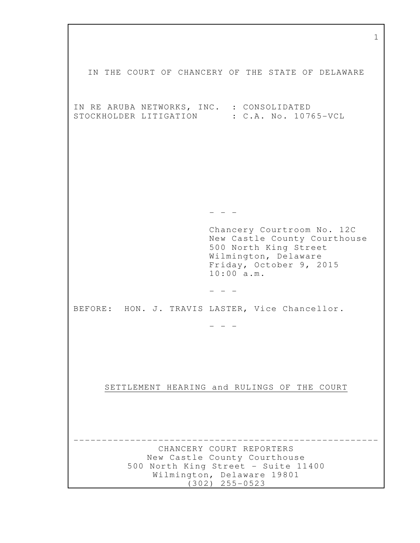1 IN THE COURT OF CHANCERY OF THE STATE OF DELAWARE IN RE ARUBA NETWORKS, INC. : CONSOLIDATED STOCKHOLDER LITIGATION : C.A. No. 10765-VCL  $-$  Chancery Courtroom No. 12C New Castle County Courthouse 500 North King Street Wilmington, Delaware Friday, October 9, 2015 10:00 a.m.  $-$ BEFORE: HON. J. TRAVIS LASTER, Vice Chancellor. - - - SETTLEMENT HEARING and RULINGS OF THE COURT ------------------------------------------------------ CHANCERY COURT REPORTERS New Castle County Courthouse 500 North King Street - Suite 11400 Wilmington, Delaware 19801 (302) 255-0523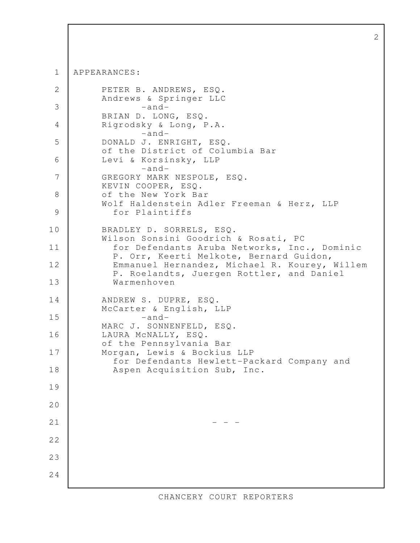```
APPEARANCES: 
           PETER B. ANDREWS, ESQ. 
           Andrews & Springer LLC 
                  -and-
           BRIAN D. LONG, ESQ. 
          Rigrodsky & Long, P.A.
                   -and-
           DONALD J. ENRIGHT, ESQ. 
           of the District of Columbia Bar 
          Levi & Korsinsky, LLP
                   -and-
           GREGORY MARK NESPOLE, ESQ. 
          KEVIN COOPER, ESQ.
           of the New York Bar 
          Wolf Haldenstein Adler Freeman & Herz, LLP
             for Plaintiffs 
           BRADLEY D. SORRELS, ESQ. 
           Wilson Sonsini Goodrich & Rosati, PC 
             for Defendants Aruba Networks, Inc., Dominic
             P. Orr, Keerti Melkote, Bernard Guidon, 
            Emmanuel Hernandez, Michael R. Kourey, Willem 
            P. Roelandts, Juergen Rottler, and Daniel 
            Warmenhoven 
           ANDREW S. DUPRE, ESQ. 
           McCarter & English, LLP 
                   -and-
           MARC J. SONNENFELD, ESQ. 
          LAURA McNALLY, ESQ.
           of the Pennsylvania Bar 
          Morgan, Lewis & Bockius LLP
             for Defendants Hewlett-Packard Company and 
             Aspen Acquisition Sub, Inc. 
                                - - - 1
  2
  3
  4
  5
  6
  7
  8
  9
10
11
12
13
14
15
16
17
18
19
20
21
22
23
24
```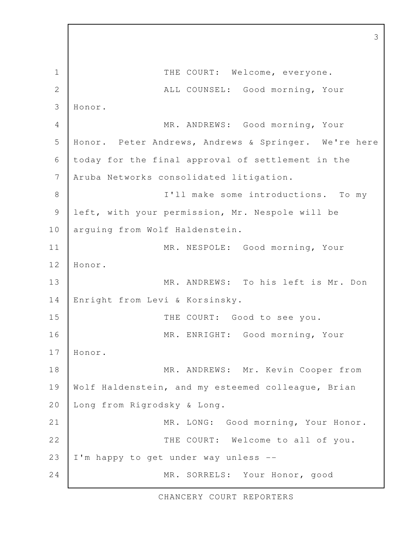THE COURT: Welcome, everyone. ALL COUNSEL: Good morning, Your Honor. MR. ANDREWS: Good morning, Your Honor. Peter Andrews, Andrews & Springer. We're here today for the final approval of settlement in the Aruba Networks consolidated litigation. I'll make some introductions. To my left, with your permission, Mr. Nespole will be arguing from Wolf Haldenstein. MR. NESPOLE: Good morning, Your Honor. MR. ANDREWS: To his left is Mr. Don Enright from Levi & Korsinsky. THE COURT: Good to see you. MR. ENRIGHT: Good morning, Your Honor. MR. ANDREWS: Mr. Kevin Cooper from Wolf Haldenstein, and my esteemed colleague, Brian Long from Rigrodsky & Long. MR. LONG: Good morning, Your Honor. THE COURT: Welcome to all of you. I'm happy to get under way unless -- MR. SORRELS: Your Honor, good 1 2 3 4 5 6 7 8 9 10 11 12 13 14 15 16 17 18 19 20 21 22 23 24

3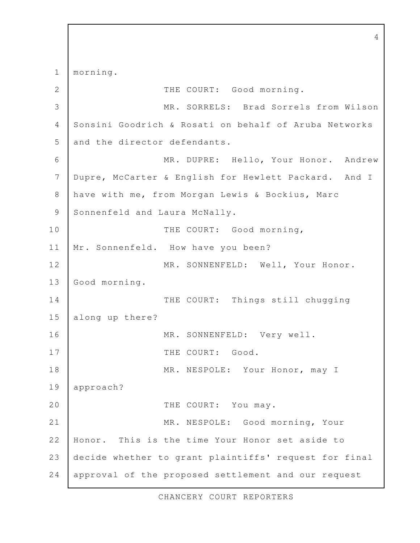morning. THE COURT: Good morning. MR. SORRELS: Brad Sorrels from Wilson Sonsini Goodrich & Rosati on behalf of Aruba Networks and the director defendants. MR. DUPRE: Hello, Your Honor. Andrew Dupre, McCarter & English for Hewlett Packard. And I have with me, from Morgan Lewis & Bockius, Marc Sonnenfeld and Laura McNally. THE COURT: Good morning, Mr. Sonnenfeld. How have you been? MR. SONNENFELD: Well, Your Honor. Good morning. THE COURT: Things still chugging along up there? MR. SONNENFELD: Very well. THE COURT: Good. MR. NESPOLE: Your Honor, may I approach? THE COURT: You may. MR. NESPOLE: Good morning, Your Honor. This is the time Your Honor set aside to decide whether to grant plaintiffs' request for final approval of the proposed settlement and our request 1 2 3 4 5 6 7 8 9 10 11 12 13 14 15 16 17 18 19 20 21 22 23 24

4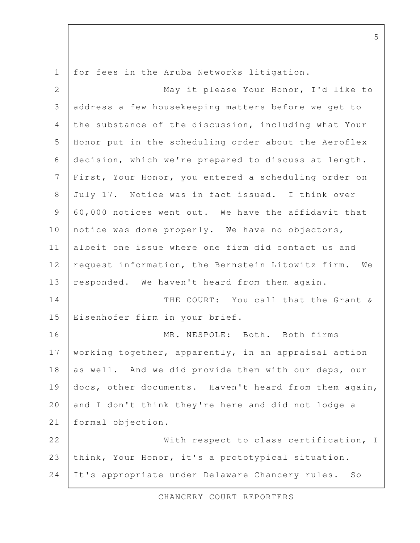for fees in the Aruba Networks litigation. May it please Your Honor, I'd like to address a few housekeeping matters before we get to the substance of the discussion, including what Your Honor put in the scheduling order about the Aeroflex decision, which we're prepared to discuss at length. First, Your Honor, you entered a scheduling order on July 17. Notice was in fact issued. I think over 60,000 notices went out. We have the affidavit that notice was done properly. We have no objectors, albeit one issue where one firm did contact us and request information, the Bernstein Litowitz firm. We responded. We haven't heard from them again. THE COURT: You call that the Grant & Eisenhofer firm in your brief. MR. NESPOLE: Both. Both firms working together, apparently, in an appraisal action as well. And we did provide them with our deps, our docs, other documents. Haven't heard from them again, and I don't think they're here and did not lodge a formal objection. With respect to class certification, I think, Your Honor, it's a prototypical situation. It's appropriate under Delaware Chancery rules. So 1 2 3 4 5 6 7 8 9 10 11 12 13 14 15 16 17 18 19 20 21 22 23 24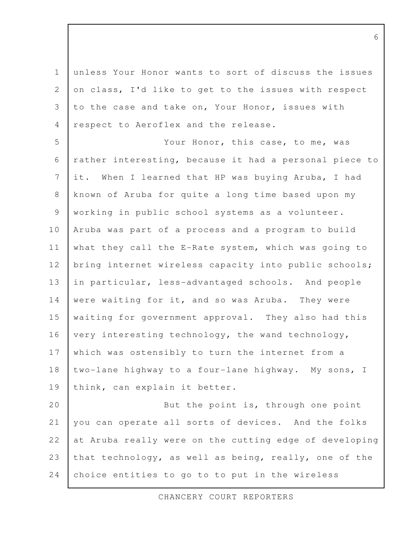unless Your Honor wants to sort of discuss the issues on class, I'd like to get to the issues with respect to the case and take on, Your Honor, issues with respect to Aeroflex and the release. 1 2 3 4

Your Honor, this case, to me, was rather interesting, because it had a personal piece to it. When I learned that HP was buying Aruba, I had known of Aruba for quite a long time based upon my working in public school systems as a volunteer. Aruba was part of a process and a program to build what they call the E-Rate system, which was going to bring internet wireless capacity into public schools; in particular, less-advantaged schools. And people were waiting for it, and so was Aruba. They were waiting for government approval. They also had this very interesting technology, the wand technology, which was ostensibly to turn the internet from a two-lane highway to a four-lane highway. My sons, I think, can explain it better. 5 6 7 8 9 10 11 12 13 14 15 16 17 18 19

But the point is, through one point you can operate all sorts of devices. And the folks at Aruba really were on the cutting edge of developing that technology, as well as being, really, one of the choice entities to go to to put in the wireless 20 21 22 23 24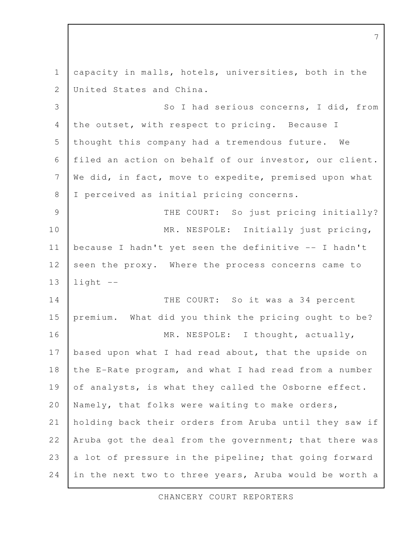capacity in malls, hotels, universities, both in the United States and China. So I had serious concerns, I did, from the outset, with respect to pricing. Because I thought this company had a tremendous future. We filed an action on behalf of our investor, our client. We did, in fact, move to expedite, premised upon what I perceived as initial pricing concerns. THE COURT: So just pricing initially? MR. NESPOLE: Initially just pricing, because I hadn't yet seen the definitive -- I hadn't seen the proxy. Where the process concerns came to  $light$   $--$ THE COURT: So it was a 34 percent premium. What did you think the pricing ought to be? MR. NESPOLE: I thought, actually, based upon what I had read about, that the upside on the E-Rate program, and what I had read from a number of analysts, is what they called the Osborne effect. Namely, that folks were waiting to make orders, holding back their orders from Aruba until they saw if Aruba got the deal from the government; that there was a lot of pressure in the pipeline; that going forward in the next two to three years, Aruba would be worth a 1 2 3 4 5 6 7 8 9 10 11 12 13 14 15 16 17 18 19 20 21 22 23 24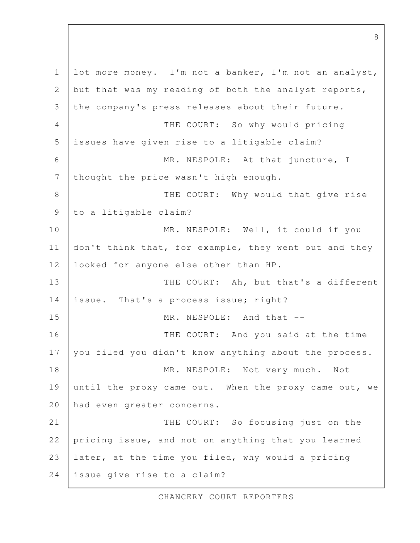lot more money. I'm not a banker, I'm not an analyst, but that was my reading of both the analyst reports, the company's press releases about their future. THE COURT: So why would pricing issues have given rise to a litigable claim? MR. NESPOLE: At that juncture, I thought the price wasn't high enough. THE COURT: Why would that give rise to a litigable claim? MR. NESPOLE: Well, it could if you don't think that, for example, they went out and they looked for anyone else other than HP. THE COURT: Ah, but that's a different issue. That's a process issue; right? MR. NESPOLE: And that --THE COURT: And you said at the time you filed you didn't know anything about the process. MR. NESPOLE: Not very much. Not until the proxy came out. When the proxy came out, we had even greater concerns. THE COURT: So focusing just on the pricing issue, and not on anything that you learned later, at the time you filed, why would a pricing issue give rise to a claim? 1 2 3 4 5 6 7 8 9 10 11 12 13 14 15 16 17 18 19 20 21 22 23 24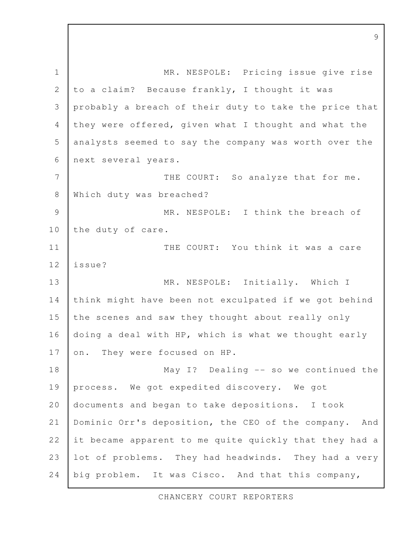MR. NESPOLE: Pricing issue give rise to a claim? Because frankly, I thought it was probably a breach of their duty to take the price that they were offered, given what I thought and what the analysts seemed to say the company was worth over the next several years. THE COURT: So analyze that for me. Which duty was breached? MR. NESPOLE: I think the breach of the duty of care. THE COURT: You think it was a care issue? MR. NESPOLE: Initially. Which I think might have been not exculpated if we got behind the scenes and saw they thought about really only doing a deal with HP, which is what we thought early on. They were focused on HP. May I? Dealing -- so we continued the process. We got expedited discovery. We got documents and began to take depositions. I took Dominic Orr's deposition, the CEO of the company. And it became apparent to me quite quickly that they had a lot of problems. They had headwinds. They had a very big problem. It was Cisco. And that this company, 1 2 3 4 5 6 7 8 9 10 11 12 13 14 15 16 17 18 19 20 21 22 23 24

CHANCERY COURT REPORTERS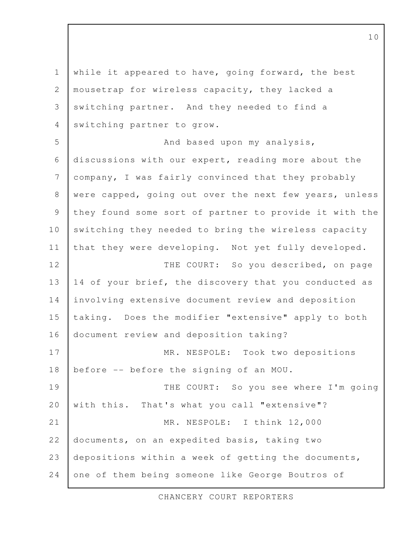while it appeared to have, going forward, the best mousetrap for wireless capacity, they lacked a switching partner. And they needed to find a switching partner to grow. And based upon my analysis, discussions with our expert, reading more about the company, I was fairly convinced that they probably were capped, going out over the next few years, unless they found some sort of partner to provide it with the switching they needed to bring the wireless capacity that they were developing. Not yet fully developed. THE COURT: So you described, on page 14 of your brief, the discovery that you conducted as involving extensive document review and deposition taking. Does the modifier "extensive" apply to both document review and deposition taking? MR. NESPOLE: Took two depositions before -- before the signing of an MOU. THE COURT: So you see where I'm going with this. That's what you call "extensive"? MR. NESPOLE: I think 12,000 documents, on an expedited basis, taking two depositions within a week of getting the documents, one of them being someone like George Boutros of 1 2 3 4 5 6 7 8 9 10 11 12 13 14 15 16 17 18 19 20 21 22 23 24

CHANCERY COURT REPORTERS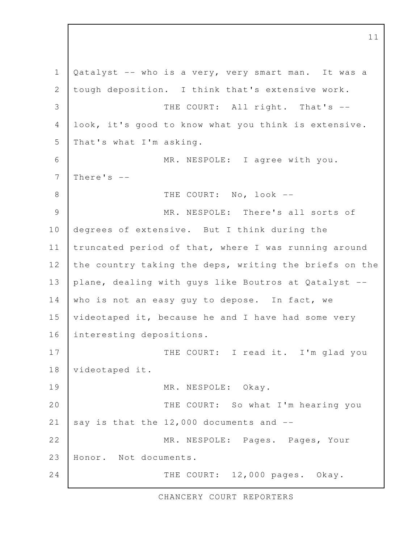Qatalyst -- who is a very, very smart man. It was a tough deposition. I think that's extensive work. THE COURT: All right. That's -look, it's good to know what you think is extensive. That's what I'm asking. MR. NESPOLE: I agree with you. There's  $-$ THE COURT: No, look --MR. NESPOLE: There's all sorts of degrees of extensive. But I think during the truncated period of that, where I was running around the country taking the deps, writing the briefs on the plane, dealing with guys like Boutros at Qatalyst - who is not an easy guy to depose. In fact, we videotaped it, because he and I have had some very interesting depositions. THE COURT: I read it. I'm glad you videotaped it. MR. NESPOLE: Okay. THE COURT: So what I'm hearing you say is that the  $12,000$  documents and  $-$ MR. NESPOLE: Pages. Pages, Your Honor. Not documents. THE COURT: 12,000 pages. Okay. 1 2 3 4 5 6 7 8 9 10 11 12 13 14 15 16 17 18 19 20 21 22 23 24

CHANCERY COURT REPORTERS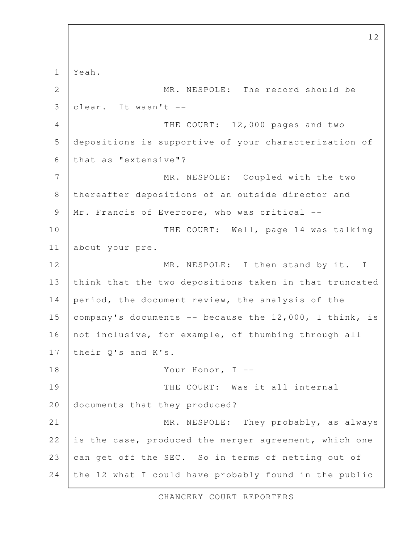Yeah. MR. NESPOLE: The record should be  $\text{clear.}$  It wasn't  $-$ THE COURT: 12,000 pages and two depositions is supportive of your characterization of that as "extensive"? MR. NESPOLE: Coupled with the two thereafter depositions of an outside director and Mr. Francis of Evercore, who was critical --THE COURT: Well, page 14 was talking about your pre. MR. NESPOLE: I then stand by it. I think that the two depositions taken in that truncated period, the document review, the analysis of the company's documents  $--$  because the 12,000, I think, is not inclusive, for example, of thumbing through all their Q's and K's. Your Honor, I --THE COURT: Was it all internal documents that they produced? MR. NESPOLE: They probably, as always is the case, produced the merger agreement, which one can get off the SEC. So in terms of netting out of the 12 what I could have probably found in the public 1 2 3 4 5 6 7 8 9 10 11 12 13 14 15 16 17 18 19 20 21 22 23 24

CHANCERY COURT REPORTERS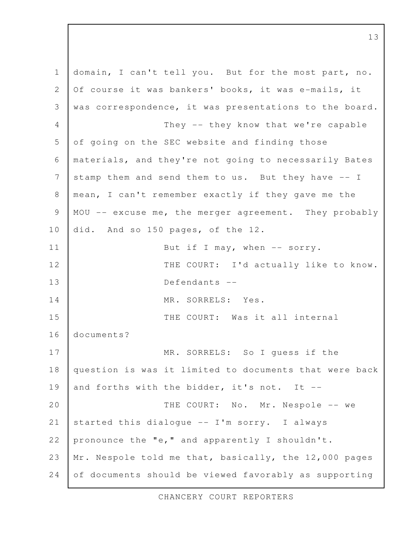domain, I can't tell you. But for the most part, no. Of course it was bankers' books, it was e-mails, it was correspondence, it was presentations to the board. They -- they know that we're capable of going on the SEC website and finding those materials, and they're not going to necessarily Bates stamp them and send them to us. But they have -- I mean, I can't remember exactly if they gave me the MOU -- excuse me, the merger agreement. They probably did. And so 150 pages, of the 12. But if I may, when  $--$  sorry. THE COURT: I'd actually like to know. Defendants -- MR. SORRELS: Yes. THE COURT: Was it all internal documents? MR. SORRELS: So I guess if the question is was it limited to documents that were back and forths with the bidder, it's not. It -- THE COURT: No. Mr. Nespole -- we started this dialogue -- I'm sorry. I always pronounce the "e," and apparently I shouldn't. Mr. Nespole told me that, basically, the 12,000 pages of documents should be viewed favorably as supporting 1 2 3 4 5 6 7 8 9 10 11 12 13 14 15 16 17 18 19 20 21 22 23 24

13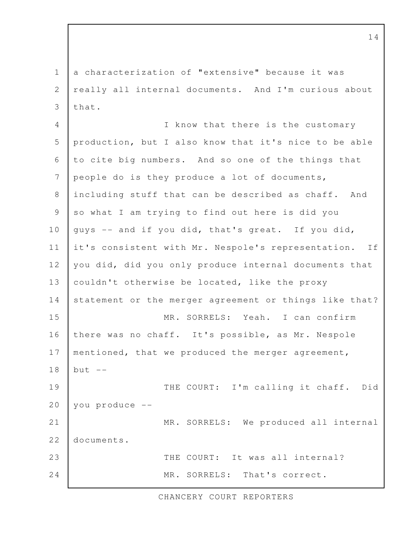a characterization of "extensive" because it was really all internal documents. And I'm curious about that. 1 2 3

I know that there is the customary production, but I also know that it's nice to be able to cite big numbers. And so one of the things that people do is they produce a lot of documents, including stuff that can be described as chaff. And so what I am trying to find out here is did you guys -- and if you did, that's great. If you did, it's consistent with Mr. Nespole's representation. If you did, did you only produce internal documents that couldn't otherwise be located, like the proxy statement or the merger agreement or things like that? MR. SORRELS: Yeah. I can confirm there was no chaff. It's possible, as Mr. Nespole mentioned, that we produced the merger agreement, but  $--$ THE COURT: I'm calling it chaff. Did you produce -- MR. SORRELS: We produced all internal documents. THE COURT: It was all internal? MR. SORRELS: That's correct. 4 5 6 7 8 9 10 11 12 13 14 15 16 17 18 19 20 21 22 23 24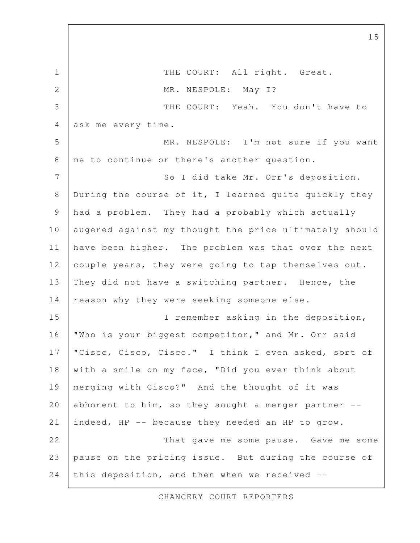THE COURT: All right. Great. MR. NESPOLE: May I? THE COURT: Yeah. You don't have to ask me every time. MR. NESPOLE: I'm not sure if you want me to continue or there's another question. So I did take Mr. Orr's deposition. During the course of it, I learned quite quickly they had a problem. They had a probably which actually augered against my thought the price ultimately should have been higher. The problem was that over the next couple years, they were going to tap themselves out. They did not have a switching partner. Hence, the reason why they were seeking someone else. I remember asking in the deposition, "Who is your biggest competitor," and Mr. Orr said "Cisco, Cisco, Cisco." I think I even asked, sort of with a smile on my face, "Did you ever think about merging with Cisco?" And the thought of it was abhorent to him, so they sought a merger partner  $-$ indeed, HP -- because they needed an HP to grow. That gave me some pause. Gave me some pause on the pricing issue. But during the course of this deposition, and then when we received -- 1 2 3 4 5 6 7 8 9 10 11 12 13 14 15 16 17 18 19 20 21 22 23 24

CHANCERY COURT REPORTERS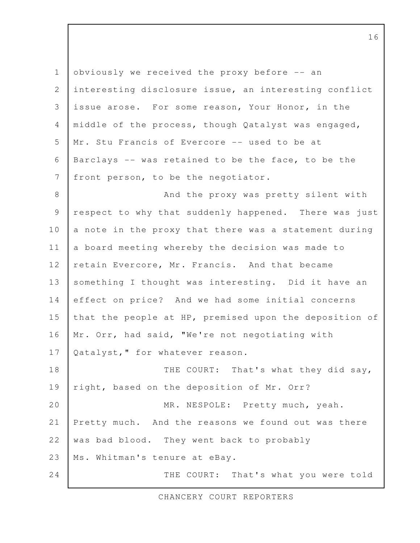obviously we received the proxy before -- an interesting disclosure issue, an interesting conflict issue arose. For some reason, Your Honor, in the middle of the process, though Qatalyst was engaged, Mr. Stu Francis of Evercore -- used to be at Barclays -- was retained to be the face, to be the front person, to be the negotiator. And the proxy was pretty silent with respect to why that suddenly happened. There was just a note in the proxy that there was a statement during a board meeting whereby the decision was made to retain Evercore, Mr. Francis. And that became something I thought was interesting. Did it have an effect on price? And we had some initial concerns that the people at HP, premised upon the deposition of Mr. Orr, had said, "We're not negotiating with Qatalyst," for whatever reason. THE COURT: That's what they did say, right, based on the deposition of Mr. Orr? MR. NESPOLE: Pretty much, yeah. Pretty much. And the reasons we found out was there was bad blood. They went back to probably Ms. Whitman's tenure at eBay. THE COURT: That's what you were told 1 2 3 4 5 6 7 8 9 10 11 12 13 14 15 16 17 18 19 20 21 22 23 24

CHANCERY COURT REPORTERS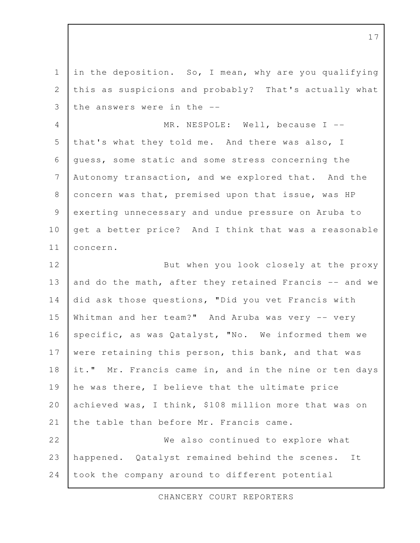in the deposition. So, I mean, why are you qualifying this as suspicions and probably? That's actually what the answers were in the -- MR. NESPOLE: Well, because I -that's what they told me. And there was also, I guess, some static and some stress concerning the Autonomy transaction, and we explored that. And the concern was that, premised upon that issue, was HP exerting unnecessary and undue pressure on Aruba to get a better price? And I think that was a reasonable concern. But when you look closely at the proxy and do the math, after they retained Francis -- and we did ask those questions, "Did you vet Francis with Whitman and her team?" And Aruba was very -- very specific, as was Qatalyst, "No. We informed them we were retaining this person, this bank, and that was it." Mr. Francis came in, and in the nine or ten days he was there, I believe that the ultimate price achieved was, I think, \$108 million more that was on the table than before Mr. Francis came. We also continued to explore what happened. Qatalyst remained behind the scenes. It took the company around to different potential 1 2 3 4 5 6 7 8 9 10 11 12 13 14 15 16 17 18 19 20 21 22 23 24

CHANCERY COURT REPORTERS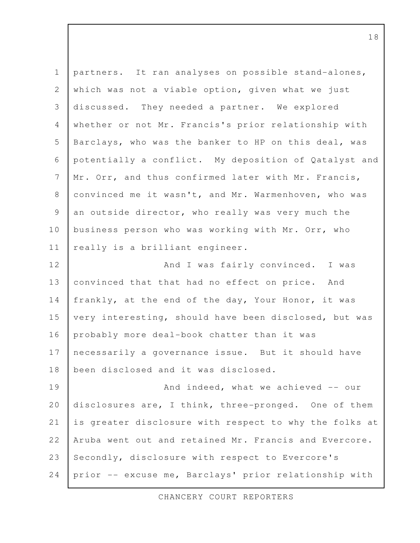| $\mathbf 1$    | partners. It ran analyses on possible stand-alones,    |
|----------------|--------------------------------------------------------|
| $\mathbf{2}$   | which was not a viable option, given what we just      |
| 3              | discussed. They needed a partner. We explored          |
| $\overline{4}$ | whether or not Mr. Francis's prior relationship with   |
| 5              | Barclays, who was the banker to HP on this deal, was   |
| 6              | potentially a conflict. My deposition of Qatalyst and  |
| $\overline{7}$ | Mr. Orr, and thus confirmed later with Mr. Francis,    |
| $8\,$          | convinced me it wasn't, and Mr. Warmenhoven, who was   |
| $\mathcal{G}$  | an outside director, who really was very much the      |
| 10             | business person who was working with Mr. Orr, who      |
| 11             | really is a brilliant engineer.                        |
| 12             | And I was fairly convinced. I was                      |
| 13             | convinced that that had no effect on price. And        |
| 14             | frankly, at the end of the day, Your Honor, it was     |
| 15             | very interesting, should have been disclosed, but was  |
| 16             | probably more deal-book chatter than it was            |
| 17             | necessarily a governance issue. But it should have     |
| 18             | been disclosed and it was disclosed.                   |
| 19             | And indeed, what we achieved -- our                    |
| 20             | disclosures are, I think, three-pronged. One of them   |
| 21             | is greater disclosure with respect to why the folks at |
| 22             | Aruba went out and retained Mr. Francis and Evercore.  |
| 23             | Secondly, disclosure with respect to Evercore's        |
| 24             | prior -- excuse me, Barclays' prior relationship with  |

CHANCERY COURT REPORTERS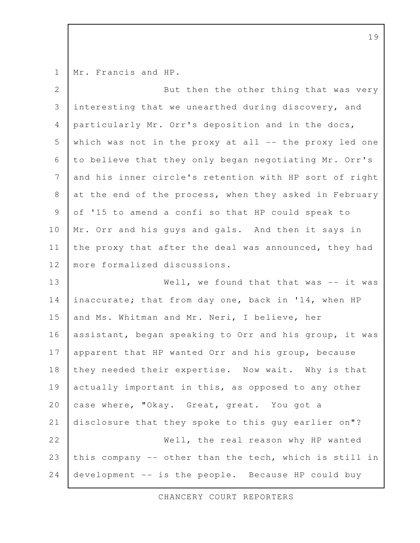Mr. Francis and HP. 1

| $\overline{2}$ | But then the other thing that was very                   |
|----------------|----------------------------------------------------------|
| 3              | interesting that we unearthed during discovery, and      |
| $\overline{4}$ | particularly Mr. Orr's deposition and in the docs,       |
| 5              | which was not in the proxy at all $--$ the proxy led one |
| 6              | to believe that they only began negotiating Mr. Orr's    |
| 7              | and his inner circle's retention with HP sort of right   |
| $\,8\,$        | at the end of the process, when they asked in February   |
| $\mathcal{G}$  | of '15 to amend a confi so that HP could speak to        |
| 10             | Mr. Orr and his guys and gals. And then it says in       |
| 11             | the proxy that after the deal was announced, they had    |
| 12             | more formalized discussions.                             |
| 13             | Well, we found that that was $--$ it was                 |
| 14             | inaccurate; that from day one, back in '14, when HP      |
| 15             | and Ms. Whitman and Mr. Neri, I believe, her             |
| 16             | assistant, began speaking to Orr and his group, it was   |
| 17             | apparent that HP wanted Orr and his group, because       |
| 18             | they needed their expertise. Now wait. Why is that       |
| 19             | actually important in this, as opposed to any other      |
| 20             | case where, "Okay. Great, great. You got a               |
| 21             | disclosure that they spoke to this guy earlier on"?      |
| 22             | Well, the real reason why HP wanted                      |
| 23             | this company -- other than the tech, which is still in   |
| 24             | development -- is the people. Because HP could buy       |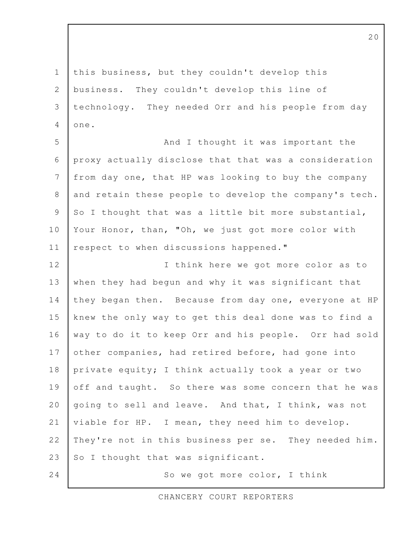this business, but they couldn't develop this business. They couldn't develop this line of technology. They needed Orr and his people from day one. 1 2 3 4

And I thought it was important the proxy actually disclose that that was a consideration from day one, that HP was looking to buy the company and retain these people to develop the company's tech. So I thought that was a little bit more substantial, Your Honor, than, "Oh, we just got more color with respect to when discussions happened." 5 6 7 8 9 10 11

I think here we got more color as to when they had begun and why it was significant that they began then. Because from day one, everyone at HP knew the only way to get this deal done was to find a way to do it to keep Orr and his people. Orr had sold other companies, had retired before, had gone into private equity; I think actually took a year or two off and taught. So there was some concern that he was going to sell and leave. And that, I think, was not viable for HP. I mean, they need him to develop. They're not in this business per se. They needed him. So I thought that was significant. 12 13 14 15 16 17 18 19 20 21 22 23 24

So we got more color, I think

CHANCERY COURT REPORTERS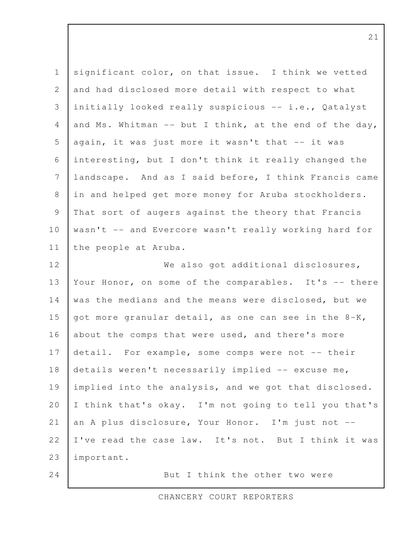| $\mathbf 1$    | significant color, on that issue. I think we vetted    |
|----------------|--------------------------------------------------------|
| 2              | and had disclosed more detail with respect to what     |
| 3              | initially looked really suspicious -- i.e., Qatalyst   |
| $\overline{4}$ | and Ms. Whitman -- but I think, at the end of the day, |
| 5              | again, it was just more it wasn't that -- it was       |
| 6              | interesting, but I don't think it really changed the   |
| 7              | landscape. And as I said before, I think Francis came  |
| 8              | in and helped get more money for Aruba stockholders.   |
| 9              | That sort of augers against the theory that Francis    |
| 10             | wasn't -- and Evercore wasn't really working hard for  |
| 11             | the people at Aruba.                                   |
| 12             | We also got additional disclosures,                    |
| 13             | Your Honor, on some of the comparables. It's -- there  |
| 14             | was the medians and the means were disclosed, but we   |
| 15             | got more granular detail, as one can see in the 8-K,   |
| 16             | about the comps that were used, and there's more       |
| 17             | detail. For example, some comps were not -- their      |
| 18             | details weren't necessarily implied -- excuse me,      |
| 19             | implied into the analysis, and we got that disclosed.  |
| 20             | I think that's okay. I'm not going to tell you that's  |
| 21             | an A plus disclosure, Your Honor. I'm just not --      |
| 22             | I've read the case law. It's not. But I think it was   |
| 23             | important.                                             |
| 24             | But I think the other two were                         |

CHANCERY COURT REPORTERS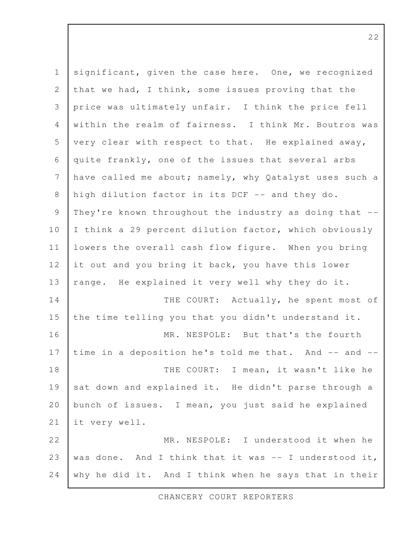| $\mathbf 1$     | significant, given the case here. One, we recognized     |
|-----------------|----------------------------------------------------------|
| $\mathbf{2}$    | that we had, I think, some issues proving that the       |
| 3               | price was ultimately unfair. I think the price fell      |
| 4               | within the realm of fairness. I think Mr. Boutros was    |
| 5               | very clear with respect to that. He explained away,      |
| 6               | quite frankly, one of the issues that several arbs       |
| $7\phantom{.0}$ | have called me about; namely, why Qatalyst uses such a   |
| $\,8\,$         | high dilution factor in its DCF -- and they do.          |
| $\mathsf 9$     | They're known throughout the industry as doing that --   |
| 10              | I think a 29 percent dilution factor, which obviously    |
| 11              | lowers the overall cash flow figure. When you bring      |
| 12              | it out and you bring it back, you have this lower        |
| 13              | range. He explained it very well why they do it.         |
| 14              | THE COURT: Actually, he spent most of                    |
| 15              | the time telling you that you didn't understand it.      |
| 16              | MR. NESPOLE: But that's the fourth                       |
| 17              | time in a deposition he's told me that. And -- and --    |
| 18              | THE COURT: I mean, it wasn't like he                     |
| 19              | sat down and explained it. He didn't parse through a     |
| 20              | bunch of issues. I mean, you just said he explained      |
| 21              | it very well.                                            |
| 22              | MR. NESPOLE: I understood it when he                     |
| 23              | was done. And I think that it was $-$ - I understood it, |
| 24              | why he did it. And I think when he says that in their    |

CHANCERY COURT REPORTERS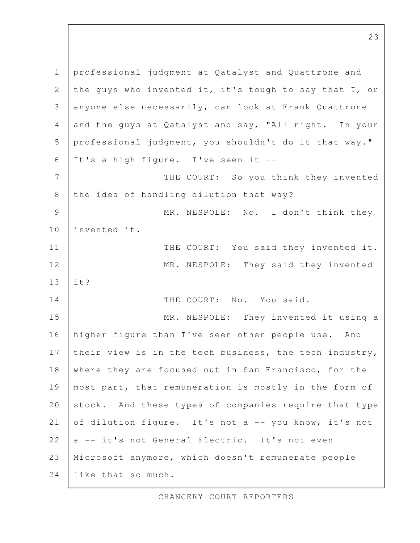professional judgment at Qatalyst and Quattrone and the guys who invented it, it's tough to say that I, or anyone else necessarily, can look at Frank Quattrone and the guys at Qatalyst and say, "All right. In your professional judgment, you shouldn't do it that way." It's a high figure. I've seen it -- THE COURT: So you think they invented the idea of handling dilution that way? MR. NESPOLE: No. I don't think they invented it. THE COURT: You said they invented it. MR. NESPOLE: They said they invented it? THE COURT: No. You said. MR. NESPOLE: They invented it using a higher figure than I've seen other people use. And their view is in the tech business, the tech industry, where they are focused out in San Francisco, for the most part, that remuneration is mostly in the form of stock. And these types of companies require that type of dilution figure. It's not a -- you know, it's not a -- it's not General Electric. It's not even Microsoft anymore, which doesn't remunerate people like that so much. 1 2 3 4 5 6 7 8 9 10 11 12 13 14 15 16 17 18 19 20 21 22 23 24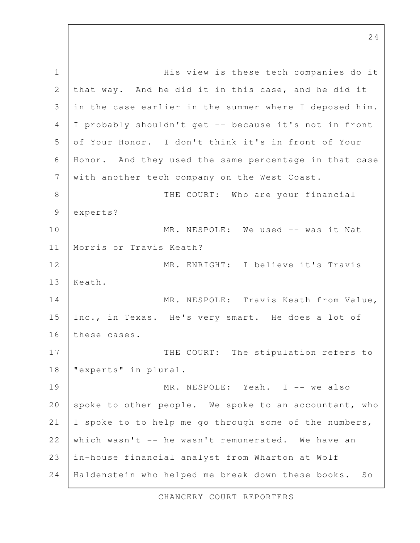His view is these tech companies do it that way. And he did it in this case, and he did it in the case earlier in the summer where I deposed him. I probably shouldn't get -- because it's not in front of Your Honor. I don't think it's in front of Your Honor. And they used the same percentage in that case with another tech company on the West Coast. THE COURT: Who are your financial experts? MR. NESPOLE: We used -- was it Nat Morris or Travis Keath? MR. ENRIGHT: I believe it's Travis Keath. MR. NESPOLE: Travis Keath from Value, Inc., in Texas. He's very smart. He does a lot of these cases. THE COURT: The stipulation refers to "experts" in plural. MR. NESPOLE: Yeah. I -- we also spoke to other people. We spoke to an accountant, who I spoke to to help me go through some of the numbers, which wasn't -- he wasn't remunerated. We have an in-house financial analyst from Wharton at Wolf Haldenstein who helped me break down these books. So 1 2 3 4 5 6 7 8 9 10 11 12 13 14 15 16 17 18 19 20 21 22 23 24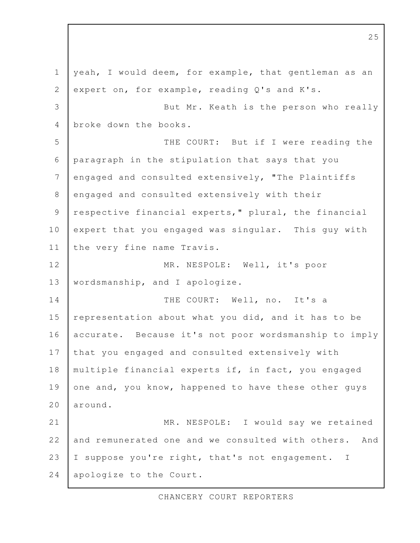yeah, I would deem, for example, that gentleman as an expert on, for example, reading Q's and K's. But Mr. Keath is the person who really broke down the books. THE COURT: But if I were reading the paragraph in the stipulation that says that you engaged and consulted extensively, "The Plaintiffs engaged and consulted extensively with their respective financial experts," plural, the financial expert that you engaged was singular. This guy with the very fine name Travis. MR. NESPOLE: Well, it's poor wordsmanship, and I apologize. THE COURT: Well, no. It's a representation about what you did, and it has to be accurate. Because it's not poor wordsmanship to imply that you engaged and consulted extensively with multiple financial experts if, in fact, you engaged one and, you know, happened to have these other guys around. MR. NESPOLE: I would say we retained and remunerated one and we consulted with others. And I suppose you're right, that's not engagement. I apologize to the Court. 1 2 3 4 5 6 7 8 9 10 11 12 13 14 15 16 17 18 19 20 21 22 23 24

25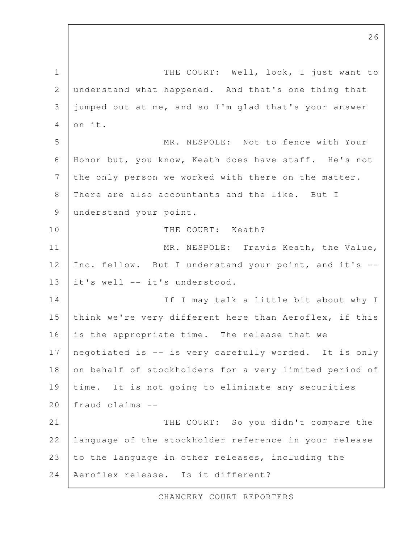THE COURT: Well, look, I just want to understand what happened. And that's one thing that jumped out at me, and so I'm glad that's your answer on it. MR. NESPOLE: Not to fence with Your Honor but, you know, Keath does have staff. He's not the only person we worked with there on the matter. There are also accountants and the like. But I understand your point. THE COURT: Keath? MR. NESPOLE: Travis Keath, the Value, Inc. fellow. But I understand your point, and it's - it's well -- it's understood. If I may talk a little bit about why I think we're very different here than Aeroflex, if this is the appropriate time. The release that we negotiated is -- is very carefully worded. It is only on behalf of stockholders for a very limited period of time. It is not going to eliminate any securities fraud claims -- THE COURT: So you didn't compare the language of the stockholder reference in your release to the language in other releases, including the Aeroflex release. Is it different? 1 2 3 4 5 6 7 8 9 10 11 12 13 14 15 16 17 18 19 20 21 22 23 24

CHANCERY COURT REPORTERS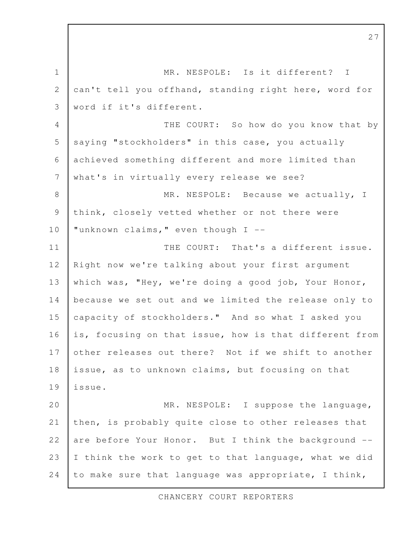MR. NESPOLE: Is it different? I can't tell you offhand, standing right here, word for word if it's different. THE COURT: So how do you know that by saying "stockholders" in this case, you actually achieved something different and more limited than what's in virtually every release we see? MR. NESPOLE: Because we actually, I think, closely vetted whether or not there were "unknown claims," even though I -- THE COURT: That's a different issue. Right now we're talking about your first argument which was, "Hey, we're doing a good job, Your Honor, because we set out and we limited the release only to capacity of stockholders." And so what I asked you is, focusing on that issue, how is that different from other releases out there? Not if we shift to another issue, as to unknown claims, but focusing on that issue. MR. NESPOLE: I suppose the language, then, is probably quite close to other releases that are before Your Honor. But I think the background -- I think the work to get to that language, what we did to make sure that language was appropriate, I think, 1 2 3 4 5 6 7 8 9 10 11 12 13 14 15 16 17 18 19 20 21 22 23 24

CHANCERY COURT REPORTERS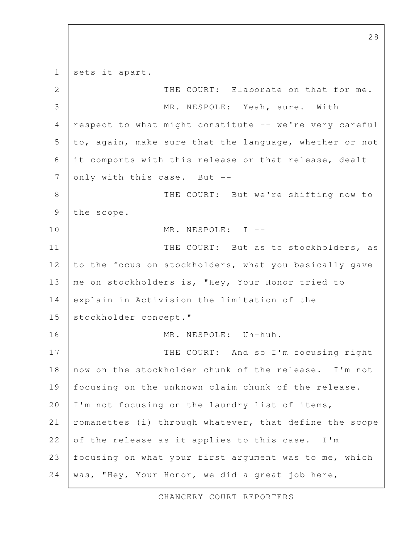sets it apart. THE COURT: Elaborate on that for me. MR. NESPOLE: Yeah, sure. With respect to what might constitute -- we're very careful to, again, make sure that the language, whether or not it comports with this release or that release, dealt only with this case. But -- THE COURT: But we're shifting now to the scope. MR. NESPOLE: I --THE COURT: But as to stockholders, as to the focus on stockholders, what you basically gave me on stockholders is, "Hey, Your Honor tried to explain in Activision the limitation of the stockholder concept." MR. NESPOLE: Uh-huh. THE COURT: And so I'm focusing right now on the stockholder chunk of the release. I'm not focusing on the unknown claim chunk of the release. I'm not focusing on the laundry list of items, romanettes (i) through whatever, that define the scope of the release as it applies to this case. I'm focusing on what your first argument was to me, which was, "Hey, Your Honor, we did a great job here, 1 2 3 4 5 6 7 8 9 10 11 12 13 14 15 16 17 18 19 20 21 22 23 24

CHANCERY COURT REPORTERS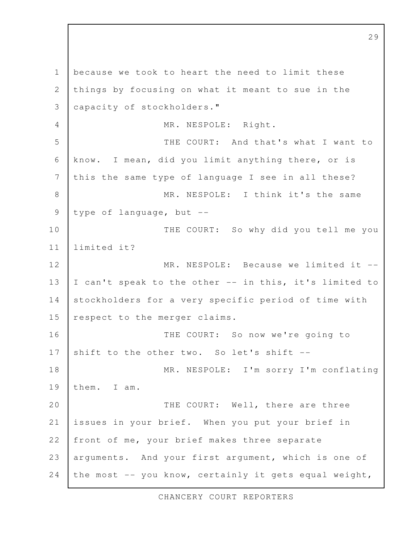because we took to heart the need to limit these things by focusing on what it meant to sue in the capacity of stockholders." MR. NESPOLE: Right. THE COURT: And that's what I want to know. I mean, did you limit anything there, or is this the same type of language I see in all these? MR. NESPOLE: I think it's the same type of language, but -- THE COURT: So why did you tell me you limited it? MR. NESPOLE: Because we limited it --I can't speak to the other -- in this, it's limited to stockholders for a very specific period of time with respect to the merger claims. THE COURT: So now we're going to shift to the other two. So let's shift --MR. NESPOLE: I'm sorry I'm conflating them. I am. THE COURT: Well, there are three issues in your brief. When you put your brief in front of me, your brief makes three separate arguments. And your first argument, which is one of the most -- you know, certainly it gets equal weight, 1 2 3 4 5 6 7 8 9 10 11 12 13 14 15 16 17 18 19 20 21 22 23 24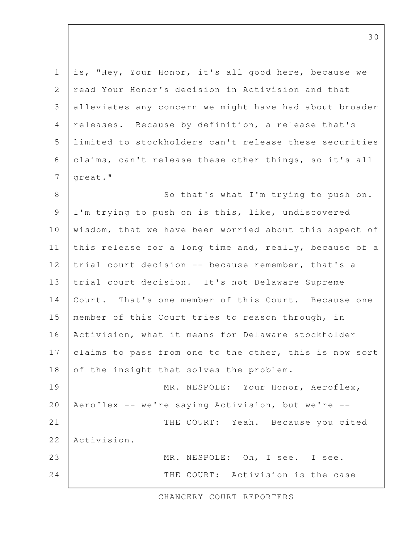is, "Hey, Your Honor, it's all good here, because we read Your Honor's decision in Activision and that alleviates any concern we might have had about broader releases. Because by definition, a release that's limited to stockholders can't release these securities claims, can't release these other things, so it's all great." So that's what I'm trying to push on. I'm trying to push on is this, like, undiscovered wisdom, that we have been worried about this aspect of this release for a long time and, really, because of a trial court decision -- because remember, that's a trial court decision. It's not Delaware Supreme Court. That's one member of this Court. Because one member of this Court tries to reason through, in Activision, what it means for Delaware stockholder claims to pass from one to the other, this is now sort of the insight that solves the problem. MR. NESPOLE: Your Honor, Aeroflex, Aeroflex -- we're saying Activision, but we're -- THE COURT: Yeah. Because you cited Activision. MR. NESPOLE: Oh, I see. I see. THE COURT: Activision is the case 1 2 3 4 5 6 7 8 9 10 11 12 13 14 15 16 17 18 19 20 21 22 23 24

CHANCERY COURT REPORTERS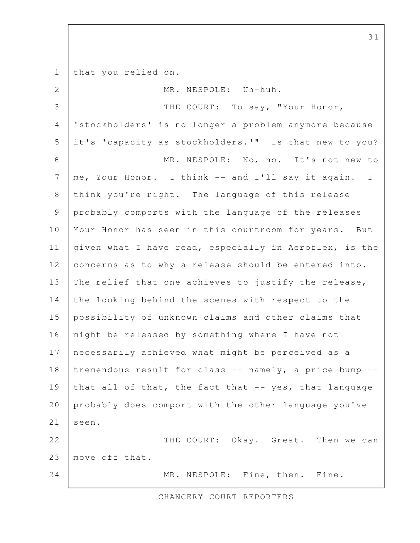that you relied on. MR. NESPOLE: Uh-huh. THE COURT: To say, "Your Honor, 'stockholders' is no longer a problem anymore because it's 'capacity as stockholders.'" Is that new to you? MR. NESPOLE: No, no. It's not new to me, Your Honor. I think -- and I'll say it again. I think you're right. The language of this release probably comports with the language of the releases Your Honor has seen in this courtroom for years. But given what I have read, especially in Aeroflex, is the concerns as to why a release should be entered into. The relief that one achieves to justify the release, the looking behind the scenes with respect to the possibility of unknown claims and other claims that might be released by something where I have not necessarily achieved what might be perceived as a tremendous result for class -- namely, a price bump - that all of that, the fact that -- yes, that language probably does comport with the other language you've seen. THE COURT: Okay. Great. Then we can move off that. MR. NESPOLE: Fine, then. Fine. 1 2 3 4 5 6 7 8 9 10 11 12 13 14 15 16 17 18 19 20 21 22 23 24

CHANCERY COURT REPORTERS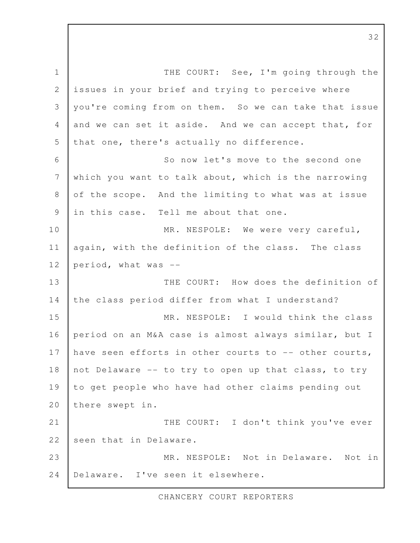THE COURT: See, I'm going through the issues in your brief and trying to perceive where you're coming from on them. So we can take that issue and we can set it aside. And we can accept that, for that one, there's actually no difference. So now let's move to the second one which you want to talk about, which is the narrowing of the scope. And the limiting to what was at issue in this case. Tell me about that one. MR. NESPOLE: We were very careful, again, with the definition of the class. The class period, what was -- THE COURT: How does the definition of the class period differ from what I understand? MR. NESPOLE: I would think the class period on an M&A case is almost always similar, but I have seen efforts in other courts to -- other courts, not Delaware -- to try to open up that class, to try to get people who have had other claims pending out there swept in. THE COURT: I don't think you've ever seen that in Delaware. MR. NESPOLE: Not in Delaware. Not in Delaware. I've seen it elsewhere. 1 2 3 4 5 6 7 8 9 10 11 12 13 14 15 16 17 18 19 20 21 22 23 24

CHANCERY COURT REPORTERS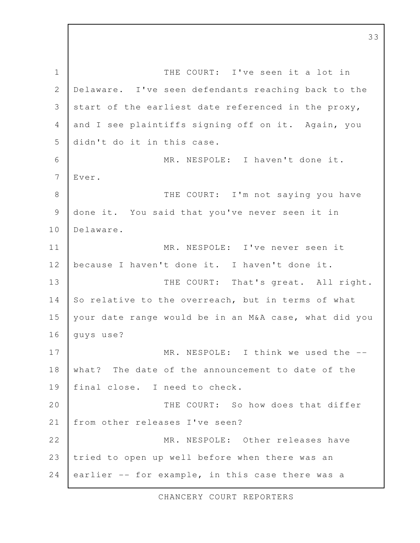THE COURT: I've seen it a lot in Delaware. I've seen defendants reaching back to the start of the earliest date referenced in the proxy, and I see plaintiffs signing off on it. Again, you didn't do it in this case. MR. NESPOLE: I haven't done it. Ever. THE COURT: I'm not saying you have done it. You said that you've never seen it in Delaware. MR. NESPOLE: I've never seen it because I haven't done it. I haven't done it. THE COURT: That's great. All right. So relative to the overreach, but in terms of what your date range would be in an M&A case, what did you guys use? MR. NESPOLE: I think we used the -what? The date of the announcement to date of the final close. I need to check. THE COURT: So how does that differ from other releases I've seen? MR. NESPOLE: Other releases have tried to open up well before when there was an earlier -- for example, in this case there was a 1 2 3 4 5 6 7 8 9 10 11 12 13 14 15 16 17 18 19 20 21 22 23 24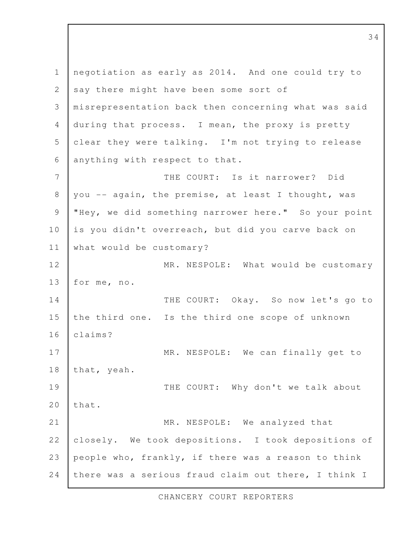negotiation as early as 2014. And one could try to say there might have been some sort of misrepresentation back then concerning what was said during that process. I mean, the proxy is pretty clear they were talking. I'm not trying to release anything with respect to that. THE COURT: Is it narrower? Did you -- again, the premise, at least I thought, was "Hey, we did something narrower here." So your point is you didn't overreach, but did you carve back on what would be customary? MR. NESPOLE: What would be customary for me, no. THE COURT: Okay. So now let's go to the third one. Is the third one scope of unknown claims? MR. NESPOLE: We can finally get to that, yeah. THE COURT: Why don't we talk about that. MR. NESPOLE: We analyzed that closely. We took depositions. I took depositions of people who, frankly, if there was a reason to think there was a serious fraud claim out there, I think I 1 2 3 4 5 6 7 8 9 10 11 12 13 14 15 16 17 18 19 20 21 22 23 24

CHANCERY COURT REPORTERS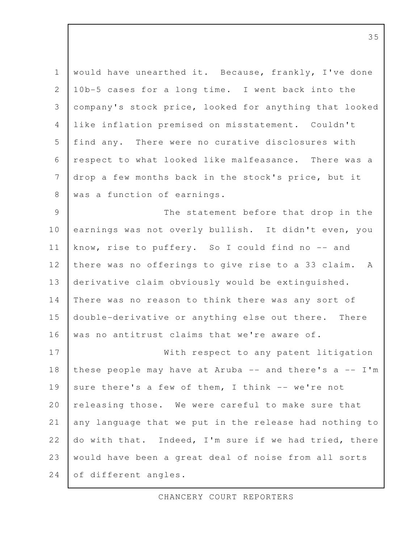would have unearthed it. Because, frankly, I've done 10b-5 cases for a long time. I went back into the company's stock price, looked for anything that looked like inflation premised on misstatement. Couldn't find any. There were no curative disclosures with respect to what looked like malfeasance. There was a drop a few months back in the stock's price, but it was a function of earnings. The statement before that drop in the earnings was not overly bullish. It didn't even, you know, rise to puffery. So I could find no -- and there was no offerings to give rise to a 33 claim. A derivative claim obviously would be extinguished. There was no reason to think there was any sort of double-derivative or anything else out there. There was no antitrust claims that we're aware of. With respect to any patent litigation these people may have at Aruba  $--$  and there's a  $--$  I'm sure there's a few of them, I think -- we're not releasing those. We were careful to make sure that any language that we put in the release had nothing to do with that. Indeed, I'm sure if we had tried, there would have been a great deal of noise from all sorts of different angles. 1 2 3 4 5 6 7 8 9 10 11 12 13 14 15 16 17 18 19 20 21 22 23 24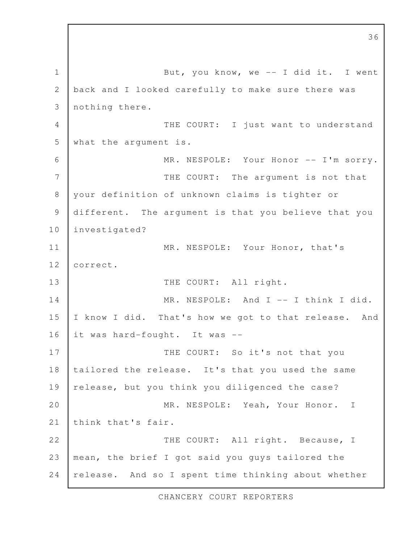But, you know, we  $-$  I did it. I went back and I looked carefully to make sure there was nothing there. THE COURT: I just want to understand what the argument is. MR. NESPOLE: Your Honor -- I'm sorry. THE COURT: The argument is not that your definition of unknown claims is tighter or different. The argument is that you believe that you investigated? MR. NESPOLE: Your Honor, that's correct. THE COURT: All right. MR. NESPOLE: And I -- I think I did. I know I did. That's how we got to that release. And it was hard-fought. It was -- THE COURT: So it's not that you tailored the release. It's that you used the same release, but you think you diligenced the case? MR. NESPOLE: Yeah, Your Honor. I think that's fair. THE COURT: All right. Because, I mean, the brief I got said you guys tailored the release. And so I spent time thinking about whether 1 2 3 4 5 6 7 8 9 10 11 12 13 14 15 16 17 18 19 20 21 22 23 24

CHANCERY COURT REPORTERS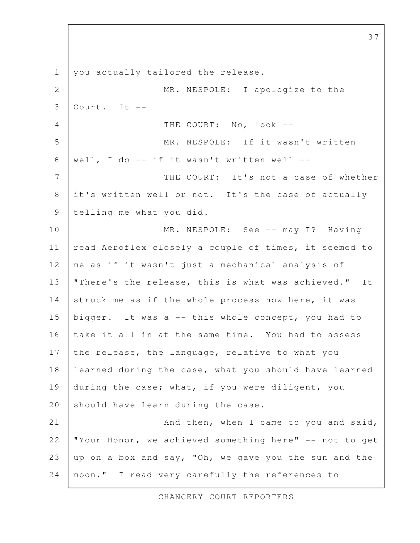you actually tailored the release. MR. NESPOLE: I apologize to the  $Conrt$ . It  $--$ THE COURT: No, look --MR. NESPOLE: If it wasn't written well, I do -- if it wasn't written well -- THE COURT: It's not a case of whether it's written well or not. It's the case of actually telling me what you did. MR. NESPOLE: See -- may I? Having read Aeroflex closely a couple of times, it seemed to me as if it wasn't just a mechanical analysis of "There's the release, this is what was achieved." It struck me as if the whole process now here, it was bigger. It was a -- this whole concept, you had to take it all in at the same time. You had to assess the release, the language, relative to what you learned during the case, what you should have learned during the case; what, if you were diligent, you should have learn during the case. And then, when I came to you and said, "Your Honor, we achieved something here" -- not to get up on a box and say, "Oh, we gave you the sun and the moon." I read very carefully the references to 1 2 3 4 5 6 7 8 9 10 11 12 13 14 15 16 17 18 19 20 21 22 23 24

CHANCERY COURT REPORTERS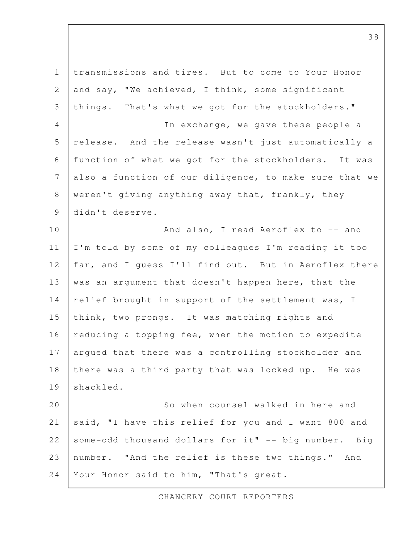transmissions and tires. But to come to Your Honor and say, "We achieved, I think, some significant things. That's what we got for the stockholders." In exchange, we gave these people a release. And the release wasn't just automatically a function of what we got for the stockholders. It was also a function of our diligence, to make sure that we weren't giving anything away that, frankly, they didn't deserve. And also, I read Aeroflex to -- and I'm told by some of my colleagues I'm reading it too far, and I guess I'll find out. But in Aeroflex there was an argument that doesn't happen here, that the relief brought in support of the settlement was, I think, two prongs. It was matching rights and reducing a topping fee, when the motion to expedite argued that there was a controlling stockholder and there was a third party that was locked up. He was shackled. So when counsel walked in here and said, "I have this relief for you and I want 800 and some-odd thousand dollars for it" -- big number. Big number. "And the relief is these two things." And Your Honor said to him, "That's great. 1 2 3 4 5 6 7 8 9 10 11 12 13 14 15 16 17 18 19 20 21 22 23 24

CHANCERY COURT REPORTERS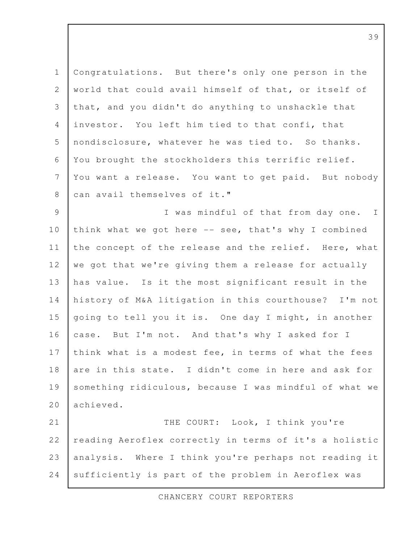Congratulations. But there's only one person in the world that could avail himself of that, or itself of that, and you didn't do anything to unshackle that investor. You left him tied to that confi, that nondisclosure, whatever he was tied to. So thanks. You brought the stockholders this terrific relief. You want a release. You want to get paid. But nobody can avail themselves of it." I was mindful of that from day one. I think what we got here -- see, that's why I combined the concept of the release and the relief. Here, what we got that we're giving them a release for actually has value. Is it the most significant result in the history of M&A litigation in this courthouse? I'm not going to tell you it is. One day I might, in another case. But I'm not. And that's why I asked for I think what is a modest fee, in terms of what the fees are in this state. I didn't come in here and ask for something ridiculous, because I was mindful of what we achieved. THE COURT: Look, I think you're reading Aeroflex correctly in terms of it's a holistic analysis. Where I think you're perhaps not reading it 1 2 3 4 5 6 7 8 9 10 11 12 13 14 15 16 17 18 19 20 21 22 23

sufficiently is part of the problem in Aeroflex was

24

CHANCERY COURT REPORTERS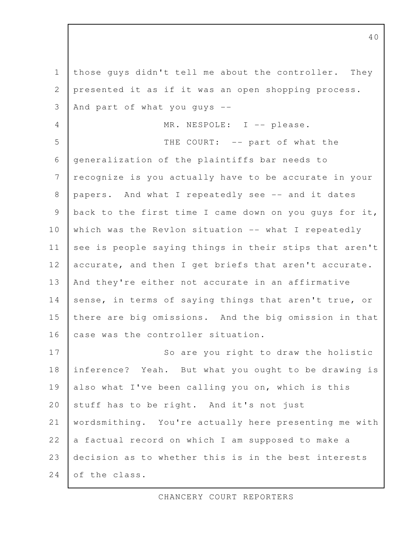those guys didn't tell me about the controller. They presented it as if it was an open shopping process. And part of what you guys  $-$ MR. NESPOLE: I -- please. THE COURT: -- part of what the generalization of the plaintiffs bar needs to recognize is you actually have to be accurate in your papers. And what I repeatedly see -- and it dates back to the first time I came down on you guys for it, which was the Revlon situation -- what I repeatedly see is people saying things in their stips that aren't accurate, and then I get briefs that aren't accurate. And they're either not accurate in an affirmative sense, in terms of saying things that aren't true, or there are big omissions. And the big omission in that case was the controller situation. So are you right to draw the holistic inference? Yeah. But what you ought to be drawing is also what I've been calling you on, which is this stuff has to be right. And it's not just wordsmithing. You're actually here presenting me with a factual record on which I am supposed to make a decision as to whether this is in the best interests of the class. 1 2 3 4 5 6 7 8 9 10 11 12 13 14 15 16 17 18 19 20 21 22 23 24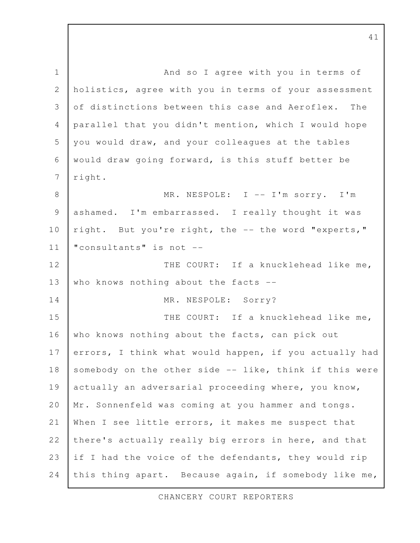And so I agree with you in terms of holistics, agree with you in terms of your assessment of distinctions between this case and Aeroflex. The parallel that you didn't mention, which I would hope you would draw, and your colleagues at the tables would draw going forward, is this stuff better be right. MR. NESPOLE: I -- I'm sorry. I'm ashamed. I'm embarrassed. I really thought it was right. But you're right, the -- the word "experts," "consultants" is not -- THE COURT: If a knucklehead like me, who knows nothing about the facts --MR. NESPOLE: Sorry? THE COURT: If a knucklehead like me, who knows nothing about the facts, can pick out errors, I think what would happen, if you actually had somebody on the other side -- like, think if this were actually an adversarial proceeding where, you know, Mr. Sonnenfeld was coming at you hammer and tongs. When I see little errors, it makes me suspect that there's actually really big errors in here, and that if I had the voice of the defendants, they would rip this thing apart. Because again, if somebody like me, 1 2 3 4 5 6 7 8 9 10 11 12 13 14 15 16 17 18 19 20 21 22 23 24

CHANCERY COURT REPORTERS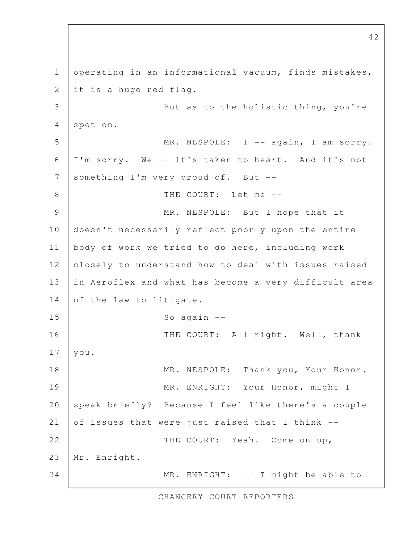operating in an informational vacuum, finds mistakes, it is a huge red flag. But as to the holistic thing, you're spot on. MR. NESPOLE: I -- again, I am sorry. I'm sorry. We -- it's taken to heart. And it's not something I'm very proud of. But -- THE COURT: Let me -- MR. NESPOLE: But I hope that it doesn't necessarily reflect poorly upon the entire body of work we tried to do here, including work closely to understand how to deal with issues raised in Aeroflex and what has become a very difficult area of the law to litigate. So again -- THE COURT: All right. Well, thank you. MR. NESPOLE: Thank you, Your Honor. MR. ENRIGHT: Your Honor, might I speak briefly? Because I feel like there's a couple of issues that were just raised that I think -- THE COURT: Yeah. Come on up, Mr. Enright. MR. ENRIGHT: -- I might be able to 1 2 3 4 5 6 7 8 9 10 11 12 13 14 15 16 17 18 19 20 21 22 23 24

CHANCERY COURT REPORTERS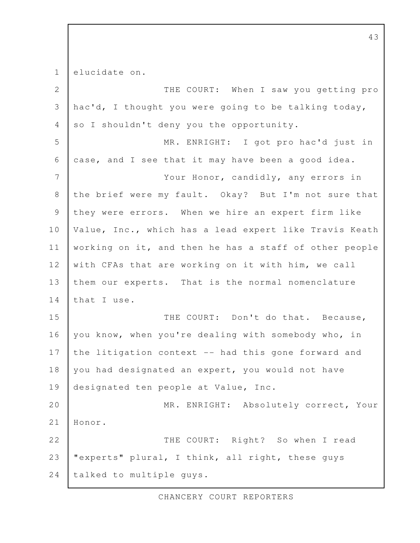elucidate on. THE COURT: When I saw you getting pro hac'd, I thought you were going to be talking today, so I shouldn't deny you the opportunity. MR. ENRIGHT: I got pro hac'd just in case, and I see that it may have been a good idea. Your Honor, candidly, any errors in the brief were my fault. Okay? But I'm not sure that they were errors. When we hire an expert firm like Value, Inc., which has a lead expert like Travis Keath working on it, and then he has a staff of other people with CFAs that are working on it with him, we call them our experts. That is the normal nomenclature that I use. THE COURT: Don't do that. Because, you know, when you're dealing with somebody who, in the litigation context -- had this gone forward and you had designated an expert, you would not have designated ten people at Value, Inc. MR. ENRIGHT: Absolutely correct, Your Honor. THE COURT: Right? So when I read "experts" plural, I think, all right, these guys talked to multiple guys. 1 2 3 4 5 6 7 8 9 10 11 12 13 14 15 16 17 18 19 20 21 22 23 24

CHANCERY COURT REPORTERS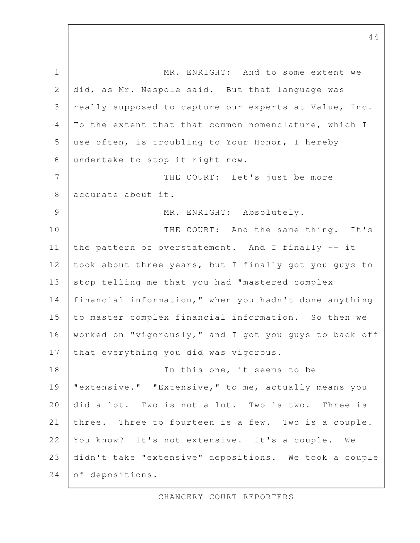MR. ENRIGHT: And to some extent we did, as Mr. Nespole said. But that language was really supposed to capture our experts at Value, Inc. To the extent that that common nomenclature, which I use often, is troubling to Your Honor, I hereby undertake to stop it right now. THE COURT: Let's just be more accurate about it. MR. ENRIGHT: Absolutely. THE COURT: And the same thing. It's the pattern of overstatement. And I finally -- it took about three years, but I finally got you guys to stop telling me that you had "mastered complex financial information," when you hadn't done anything to master complex financial information. So then we worked on "vigorously," and I got you guys to back off that everything you did was vigorous. In this one, it seems to be "extensive." "Extensive," to me, actually means you did a lot. Two is not a lot. Two is two. Three is three. Three to fourteen is a few. Two is a couple. You know? It's not extensive. It's a couple. We didn't take "extensive" depositions. We took a couple of depositions. 1 2 3 4 5 6 7 8 9 10 11 12 13 14 15 16 17 18 19 20 21 22 23 24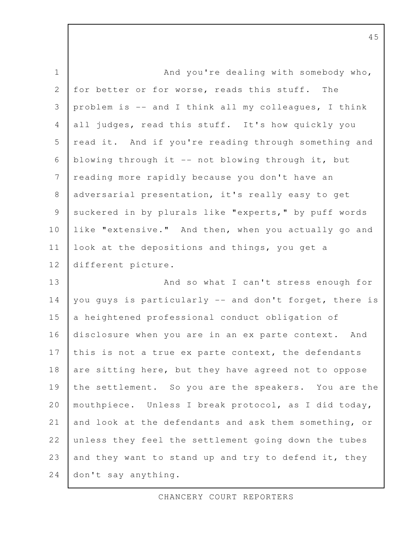And you're dealing with somebody who, for better or for worse, reads this stuff. The problem is -- and I think all my colleagues, I think all judges, read this stuff. It's how quickly you read it. And if you're reading through something and blowing through it -- not blowing through it, but reading more rapidly because you don't have an adversarial presentation, it's really easy to get suckered in by plurals like "experts," by puff words like "extensive." And then, when you actually go and look at the depositions and things, you get a different picture. And so what I can't stress enough for you guys is particularly -- and don't forget, there is a heightened professional conduct obligation of disclosure when you are in an ex parte context. And this is not a true ex parte context, the defendants are sitting here, but they have agreed not to oppose the settlement. So you are the speakers. You are the mouthpiece. Unless I break protocol, as I did today, and look at the defendants and ask them something, or unless they feel the settlement going down the tubes and they want to stand up and try to defend it, they don't say anything. 1 2 3 4 5 6 7 8 9 10 11 12 13 14 15 16 17 18 19 20 21 22 23 24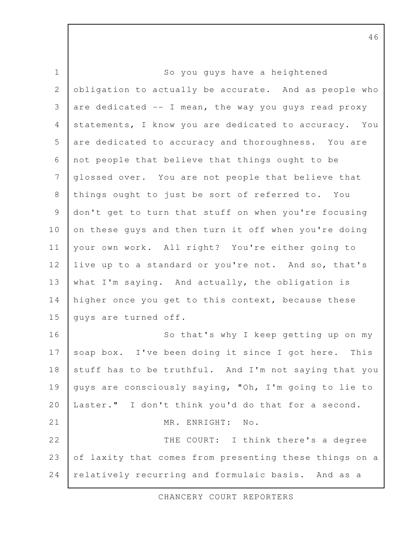So you guys have a heightened obligation to actually be accurate. And as people who are dedicated  $--$  I mean, the way you quys read proxy statements, I know you are dedicated to accuracy. You are dedicated to accuracy and thoroughness. You are not people that believe that things ought to be glossed over. You are not people that believe that things ought to just be sort of referred to. You don't get to turn that stuff on when you're focusing on these guys and then turn it off when you're doing your own work. All right? You're either going to live up to a standard or you're not. And so, that's what I'm saying. And actually, the obligation is higher once you get to this context, because these guys are turned off. So that's why I keep getting up on my soap box. I've been doing it since I got here. This stuff has to be truthful. And I'm not saying that you guys are consciously saying, "Oh, I'm going to lie to Laster." I don't think you'd do that for a second. MR. ENRIGHT: No. THE COURT: I think there's a degree of laxity that comes from presenting these things on a relatively recurring and formulaic basis. And as a 1 2 3 4 5 6 7 8 9 10 11 12 13 14 15 16 17 18 19 20 21 22 23 24

CHANCERY COURT REPORTERS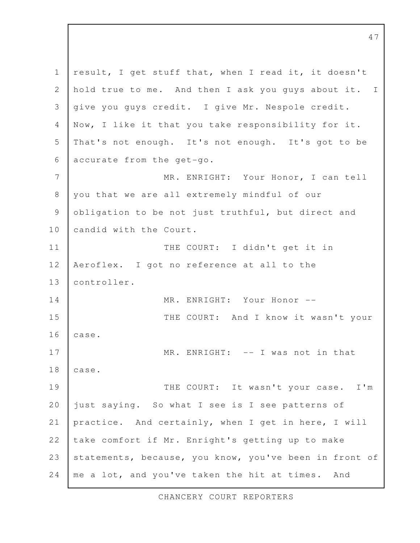result, I get stuff that, when I read it, it doesn't hold true to me. And then I ask you guys about it. I give you guys credit. I give Mr. Nespole credit. Now, I like it that you take responsibility for it. That's not enough. It's not enough. It's got to be accurate from the get-go. MR. ENRIGHT: Your Honor, I can tell you that we are all extremely mindful of our obligation to be not just truthful, but direct and candid with the Court. THE COURT: I didn't get it in Aeroflex. I got no reference at all to the controller. MR. ENRIGHT: Your Honor --THE COURT: And I know it wasn't your case. MR. ENRIGHT: -- I was not in that case. THE COURT: It wasn't your case. I'm just saying. So what I see is I see patterns of practice. And certainly, when I get in here, I will take comfort if Mr. Enright's getting up to make statements, because, you know, you've been in front of me a lot, and you've taken the hit at times. And 1 2 3 4 5 6 7 8 9 10 11 12 13 14 15 16 17 18 19 20 21 22 23 24

CHANCERY COURT REPORTERS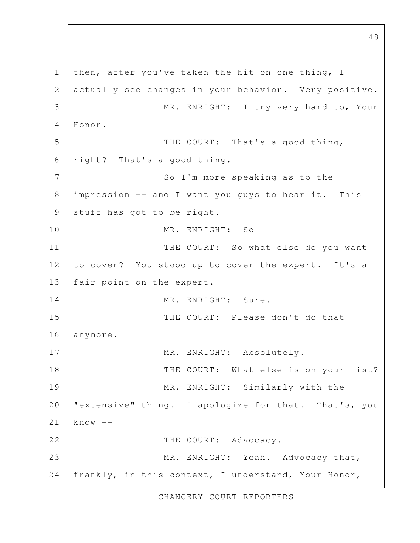then, after you've taken the hit on one thing, I actually see changes in your behavior. Very positive. MR. ENRIGHT: I try very hard to, Your Honor. THE COURT: That's a good thing, right? That's a good thing. So I'm more speaking as to the impression -- and I want you guys to hear it. This stuff has got to be right. MR. ENRIGHT: So --THE COURT: So what else do you want to cover? You stood up to cover the expert. It's a fair point on the expert. MR. ENRIGHT: Sure. THE COURT: Please don't do that anymore. MR. ENRIGHT: Absolutely. THE COURT: What else is on your list? MR. ENRIGHT: Similarly with the "extensive" thing. I apologize for that. That's, you  $know --$ THE COURT: Advocacy. MR. ENRIGHT: Yeah. Advocacy that, frankly, in this context, I understand, Your Honor, 1 2 3 4 5 6 7 8 9 10 11 12 13 14 15 16 17 18 19 20 21 22 23 24

CHANCERY COURT REPORTERS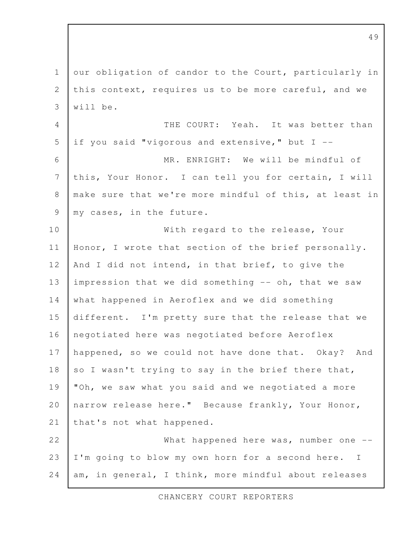our obligation of candor to the Court, particularly in this context, requires us to be more careful, and we will be. THE COURT: Yeah. It was better than if you said "vigorous and extensive," but I -- MR. ENRIGHT: We will be mindful of this, Your Honor. I can tell you for certain, I will make sure that we're more mindful of this, at least in my cases, in the future. With regard to the release, Your Honor, I wrote that section of the brief personally. And I did not intend, in that brief, to give the impression that we did something -- oh, that we saw what happened in Aeroflex and we did something different. I'm pretty sure that the release that we negotiated here was negotiated before Aeroflex happened, so we could not have done that. Okay? And so I wasn't trying to say in the brief there that, "Oh, we saw what you said and we negotiated a more narrow release here." Because frankly, Your Honor, that's not what happened. What happened here was, number one  $-$ -I'm going to blow my own horn for a second here. I am, in general, I think, more mindful about releases 1 2 3 4 5 6 7 8 9 10 11 12 13 14 15 16 17 18 19 20 21 22 23 24

CHANCERY COURT REPORTERS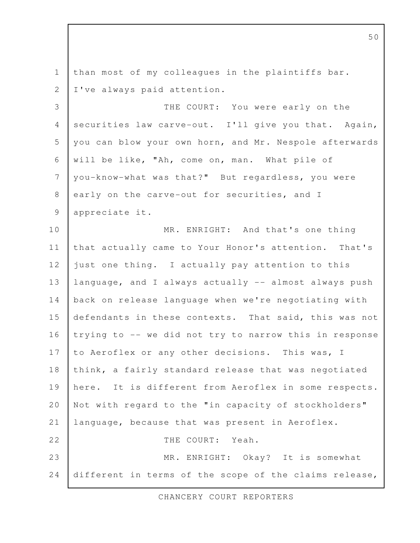than most of my colleagues in the plaintiffs bar. I've always paid attention. THE COURT: You were early on the securities law carve-out. I'll give you that. Again, you can blow your own horn, and Mr. Nespole afterwards will be like, "Ah, come on, man. What pile of you-know-what was that?" But regardless, you were early on the carve-out for securities, and I appreciate it. MR. ENRIGHT: And that's one thing that actually came to Your Honor's attention. That's just one thing. I actually pay attention to this language, and I always actually -- almost always push back on release language when we're negotiating with defendants in these contexts. That said, this was not trying to -- we did not try to narrow this in response to Aeroflex or any other decisions. This was, I think, a fairly standard release that was negotiated here. It is different from Aeroflex in some respects. Not with regard to the "in capacity of stockholders" language, because that was present in Aeroflex. THE COURT: Yeah. MR. ENRIGHT: Okay? It is somewhat different in terms of the scope of the claims release, 1 2 3 4 5 6 7 8 9 10 11 12 13 14 15 16 17 18 19 20 21 22 23 24

CHANCERY COURT REPORTERS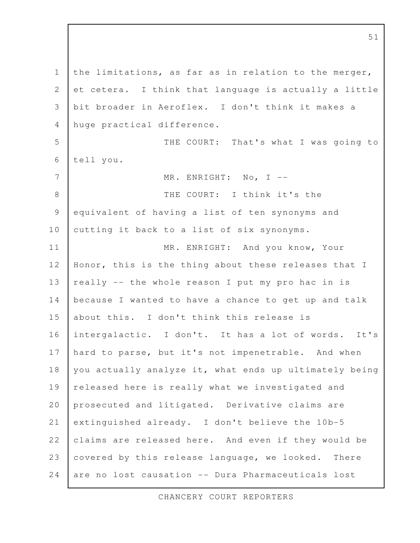the limitations, as far as in relation to the merger, et cetera. I think that language is actually a little bit broader in Aeroflex. I don't think it makes a huge practical difference. THE COURT: That's what I was going to tell you. MR. ENRIGHT: No, I -- THE COURT: I think it's the equivalent of having a list of ten synonyms and cutting it back to a list of six synonyms. MR. ENRIGHT: And you know, Your Honor, this is the thing about these releases that I really -- the whole reason I put my pro hac in is because I wanted to have a chance to get up and talk about this. I don't think this release is intergalactic. I don't. It has a lot of words. It's hard to parse, but it's not impenetrable. And when you actually analyze it, what ends up ultimately being released here is really what we investigated and prosecuted and litigated. Derivative claims are extinguished already. I don't believe the 10b-5 claims are released here. And even if they would be covered by this release language, we looked. There are no lost causation -- Dura Pharmaceuticals lost 1 2 3 4 5 6 7 8 9 10 11 12 13 14 15 16 17 18 19 20 21 22 23 24

CHANCERY COURT REPORTERS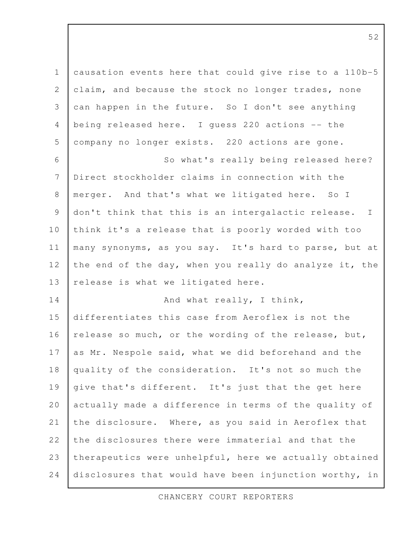| $\mathbf 1$     | causation events here that could give rise to a 110b-5 |
|-----------------|--------------------------------------------------------|
| $\mathbf{2}$    | claim, and because the stock no longer trades, none    |
| 3               | can happen in the future. So I don't see anything      |
| $\overline{4}$  | being released here. I guess 220 actions -- the        |
| 5               | company no longer exists. 220 actions are gone.        |
| 6               | So what's really being released here?                  |
| $7\phantom{.0}$ | Direct stockholder claims in connection with the       |
| $\,8\,$         | merger. And that's what we litigated here. So I        |
| $\mathsf 9$     | don't think that this is an intergalactic release. I   |
| 10              | think it's a release that is poorly worded with too    |
| 11              | many synonyms, as you say. It's hard to parse, but at  |
| 12              | the end of the day, when you really do analyze it, the |
| 13              | release is what we litigated here.                     |
| 14              | And what really, I think,                              |
| 15              | differentiates this case from Aeroflex is not the      |
| 16              | release so much, or the wording of the release, but,   |
| 17              | as Mr. Nespole said, what we did beforehand and the    |
| 18              | quality of the consideration. It's not so much the     |
| 19              | give that's different. It's just that the get here     |
| 20              | actually made a difference in terms of the quality of  |
| 21              | the disclosure. Where, as you said in Aeroflex that    |
| 22              | the disclosures there were immaterial and that the     |
| 23              | therapeutics were unhelpful, here we actually obtained |
| 24              | disclosures that would have been injunction worthy, in |

CHANCERY COURT REPORTERS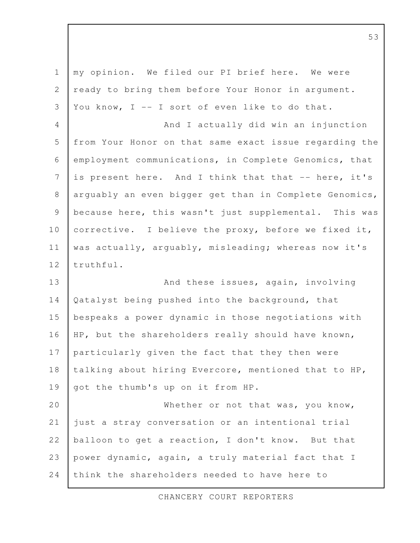| $\mathbf 1$    | my opinion. We filed our PI brief here. We were        |
|----------------|--------------------------------------------------------|
| $\mathbf{2}$   | ready to bring them before Your Honor in argument.     |
| 3              | You know, I -- I sort of even like to do that.         |
| $\overline{4}$ | And I actually did win an injunction                   |
| 5              | from Your Honor on that same exact issue regarding the |
| 6              | employment communications, in Complete Genomics, that  |
| $\overline{7}$ | is present here. And I think that that -- here, it's   |
| $8\,$          | arguably an even bigger get than in Complete Genomics, |
| $\mathsf 9$    | because here, this wasn't just supplemental. This was  |
| 10             | corrective. I believe the proxy, before we fixed it,   |
| 11             | was actually, arguably, misleading; whereas now it's   |
| 12             | truthful.                                              |
| 13             | And these issues, again, involving                     |
| 14             | Qatalyst being pushed into the background, that        |
| 15             | bespeaks a power dynamic in those negotiations with    |
| 16             | HP, but the shareholders really should have known,     |
| 17             | particularly given the fact that they then were        |
| 18             | talking about hiring Evercore, mentioned that to HP,   |
| 19             | got the thumb's up on it from HP.                      |
| 20             | Whether or not that was, you know,                     |
| 21             | just a stray conversation or an intentional trial      |
| 22             | balloon to get a reaction, I don't know. But that      |
| 23             | power dynamic, again, a truly material fact that I     |
| 24             | think the shareholders needed to have here to          |

CHANCERY COURT REPORTERS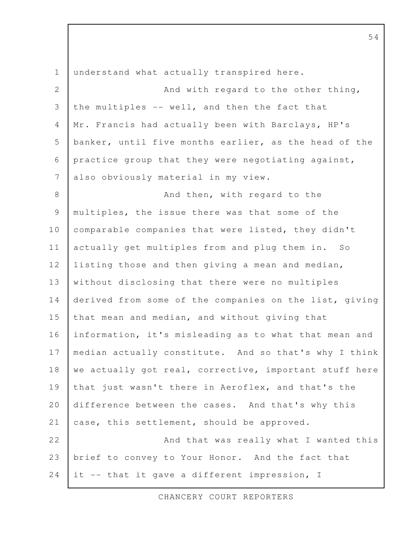understand what actually transpired here. And with regard to the other thing, the multiples -- well, and then the fact that Mr. Francis had actually been with Barclays, HP's banker, until five months earlier, as the head of the practice group that they were negotiating against, also obviously material in my view. And then, with regard to the multiples, the issue there was that some of the comparable companies that were listed, they didn't actually get multiples from and plug them in. So listing those and then giving a mean and median, without disclosing that there were no multiples derived from some of the companies on the list, giving that mean and median, and without giving that information, it's misleading as to what that mean and median actually constitute. And so that's why I think we actually got real, corrective, important stuff here that just wasn't there in Aeroflex, and that's the difference between the cases. And that's why this case, this settlement, should be approved. And that was really what I wanted this brief to convey to Your Honor. And the fact that it -- that it gave a different impression, I 1 2 3 4 5 6 7 8 9 10 11 12 13 14 15 16 17 18 19 20 21 22 23 24

CHANCERY COURT REPORTERS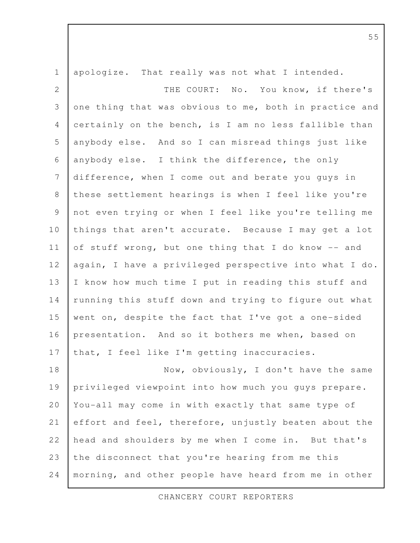apologize. That really was not what I intended. THE COURT: No. You know, if there's one thing that was obvious to me, both in practice and certainly on the bench, is I am no less fallible than anybody else. And so I can misread things just like anybody else. I think the difference, the only difference, when I come out and berate you guys in these settlement hearings is when I feel like you're not even trying or when I feel like you're telling me things that aren't accurate. Because I may get a lot of stuff wrong, but one thing that I do know -- and again, I have a privileged perspective into what I do. I know how much time I put in reading this stuff and running this stuff down and trying to figure out what went on, despite the fact that I've got a one-sided presentation. And so it bothers me when, based on that, I feel like I'm getting inaccuracies. Now, obviously, I don't have the same privileged viewpoint into how much you guys prepare. You-all may come in with exactly that same type of effort and feel, therefore, unjustly beaten about the head and shoulders by me when I come in. But that's the disconnect that you're hearing from me this morning, and other people have heard from me in other 1 2 3 4 5 6 7 8 9 10 11 12 13 14 15 16 17 18 19 20 21 22 23 24

CHANCERY COURT REPORTERS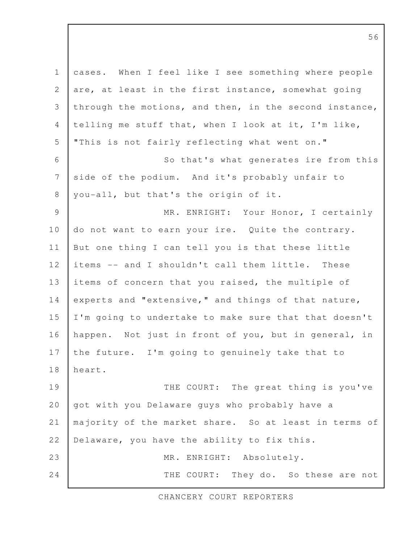cases. When I feel like I see something where people are, at least in the first instance, somewhat going through the motions, and then, in the second instance, telling me stuff that, when I look at it, I'm like, "This is not fairly reflecting what went on." So that's what generates ire from this side of the podium. And it's probably unfair to you-all, but that's the origin of it. MR. ENRIGHT: Your Honor, I certainly do not want to earn your ire. Quite the contrary. But one thing I can tell you is that these little items -- and I shouldn't call them little. These items of concern that you raised, the multiple of experts and "extensive," and things of that nature, I'm going to undertake to make sure that that doesn't happen. Not just in front of you, but in general, in the future. I'm going to genuinely take that to heart. THE COURT: The great thing is you've got with you Delaware guys who probably have a majority of the market share. So at least in terms of Delaware, you have the ability to fix this. MR. ENRIGHT: Absolutely. THE COURT: They do. So these are not 1 2 3 4 5 6 7 8 9 10 11 12 13 14 15 16 17 18 19 20 21 22 23 24

CHANCERY COURT REPORTERS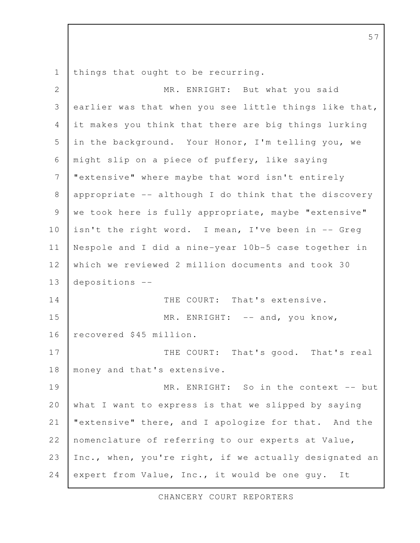things that ought to be recurring. 1

MR. ENRIGHT: But what you said earlier was that when you see little things like that, it makes you think that there are big things lurking in the background. Your Honor, I'm telling you, we might slip on a piece of puffery, like saying "extensive" where maybe that word isn't entirely appropriate -- although I do think that the discovery we took here is fully appropriate, maybe "extensive" isn't the right word. I mean, I've been in -- Greg Nespole and I did a nine-year 10b-5 case together in which we reviewed 2 million documents and took 30 depositions -- THE COURT: That's extensive. MR. ENRIGHT: -- and, you know, recovered \$45 million. THE COURT: That's good. That's real money and that's extensive. MR. ENRIGHT: So in the context -- but what I want to express is that we slipped by saying "extensive" there, and I apologize for that. And the nomenclature of referring to our experts at Value, Inc., when, you're right, if we actually designated an expert from Value, Inc., it would be one guy. It 2 3 4 5 6 7 8 9 10 11 12 13 14 15 16 17 18 19 20 21 22 23 24

CHANCERY COURT REPORTERS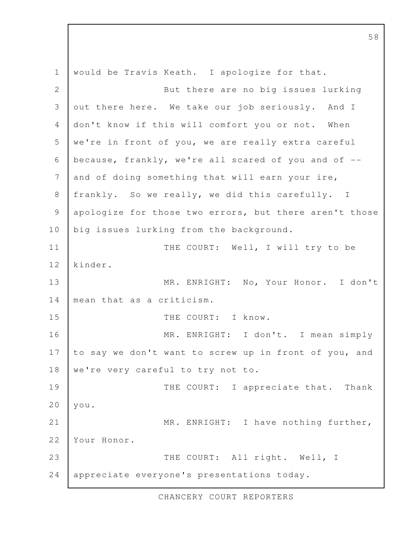would be Travis Keath. I apologize for that. But there are no big issues lurking out there here. We take our job seriously. And I don't know if this will comfort you or not. When we're in front of you, we are really extra careful because, frankly, we're all scared of you and of - and of doing something that will earn your ire, frankly. So we really, we did this carefully. I apologize for those two errors, but there aren't those big issues lurking from the background. THE COURT: Well, I will try to be kinder. MR. ENRIGHT: No, Your Honor. I don't mean that as a criticism. THE COURT: I know. MR. ENRIGHT: I don't. I mean simply to say we don't want to screw up in front of you, and we're very careful to try not to. THE COURT: I appreciate that. Thank you. MR. ENRIGHT: I have nothing further, Your Honor. THE COURT: All right. Well, I appreciate everyone's presentations today. 1 2 3 4 5 6 7 8 9 10 11 12 13 14 15 16 17 18 19 20 21 22 23 24

CHANCERY COURT REPORTERS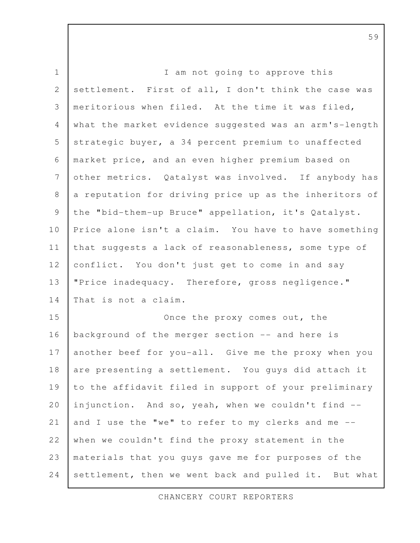I am not going to approve this settlement. First of all, I don't think the case was meritorious when filed. At the time it was filed, what the market evidence suggested was an arm's-length strategic buyer, a 34 percent premium to unaffected market price, and an even higher premium based on other metrics. Qatalyst was involved. If anybody has a reputation for driving price up as the inheritors of the "bid-them-up Bruce" appellation, it's Qatalyst. Price alone isn't a claim. You have to have something that suggests a lack of reasonableness, some type of conflict. You don't just get to come in and say "Price inadequacy. Therefore, gross negligence." That is not a claim. Once the proxy comes out, the background of the merger section -- and here is another beef for you-all. Give me the proxy when you are presenting a settlement. You guys did attach it to the affidavit filed in support of your preliminary injunction. And so, yeah, when we couldn't find -and I use the "we" to refer to my clerks and me - when we couldn't find the proxy statement in the materials that you guys gave me for purposes of the settlement, then we went back and pulled it. But what 1 2 3 4 5 6 7 8 9 10 11 12 13 14 15 16 17 18 19 20 21 22 23 24

CHANCERY COURT REPORTERS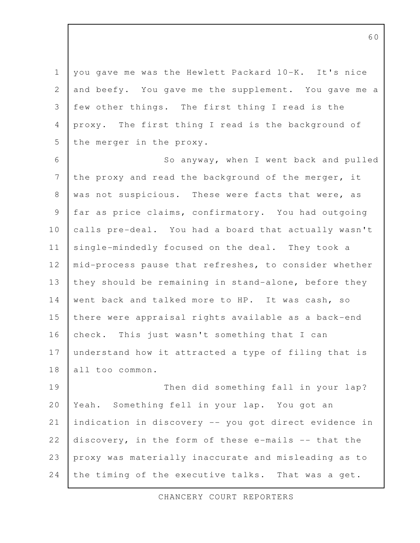you gave me was the Hewlett Packard 10-K. It's nice and beefy. You gave me the supplement. You gave me a few other things. The first thing I read is the proxy. The first thing I read is the background of the merger in the proxy. 1 2 3 4 5

So anyway, when I went back and pulled the proxy and read the background of the merger, it was not suspicious. These were facts that were, as far as price claims, confirmatory. You had outgoing calls pre-deal. You had a board that actually wasn't single-mindedly focused on the deal. They took a mid-process pause that refreshes, to consider whether they should be remaining in stand-alone, before they went back and talked more to HP. It was cash, so there were appraisal rights available as a back-end check. This just wasn't something that I can understand how it attracted a type of filing that is all too common. 6 7 8 9 10 11 12 13 14 15 16 17 18

Then did something fall in your lap? Yeah. Something fell in your lap. You got an indication in discovery -- you got direct evidence in discovery, in the form of these e-mails -- that the proxy was materially inaccurate and misleading as to the timing of the executive talks. That was a get. 19 20 21 22 23 24

CHANCERY COURT REPORTERS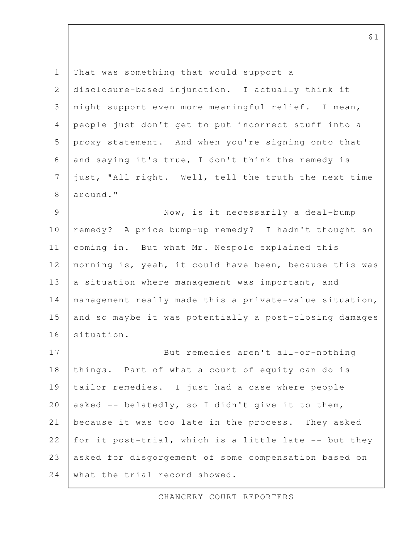That was something that would support a disclosure-based injunction. I actually think it might support even more meaningful relief. I mean, people just don't get to put incorrect stuff into a proxy statement. And when you're signing onto that and saying it's true, I don't think the remedy is just, "All right. Well, tell the truth the next time around." Now, is it necessarily a deal-bump remedy? A price bump-up remedy? I hadn't thought so coming in. But what Mr. Nespole explained this morning is, yeah, it could have been, because this was a situation where management was important, and management really made this a private-value situation, and so maybe it was potentially a post-closing damages situation. But remedies aren't all-or-nothing things. Part of what a court of equity can do is tailor remedies. I just had a case where people asked -- belatedly, so I didn't give it to them, because it was too late in the process. They asked for it post-trial, which is a little late -- but they asked for disgorgement of some compensation based on what the trial record showed. 1 2 3 4 5 6 7 8 9 10 11 12 13 14 15 16 17 18 19 20 21 22 23 24

CHANCERY COURT REPORTERS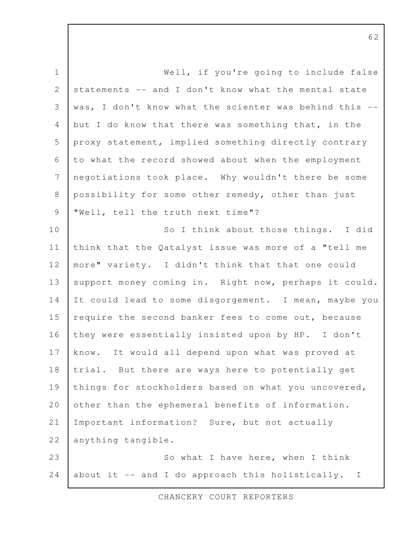Well, if you're going to include false statements -- and I don't know what the mental state was, I don't know what the scienter was behind this - but I do know that there was something that, in the proxy statement, implied something directly contrary to what the record showed about when the employment negotiations took place. Why wouldn't there be some possibility for some other remedy, other than just "Well, tell the truth next time"? So I think about those things. I did think that the Qatalyst issue was more of a "tell me more" variety. I didn't think that that one could support money coming in. Right now, perhaps it could. It could lead to some disgorgement. I mean, maybe you require the second banker fees to come out, because they were essentially insisted upon by HP. I don't know. It would all depend upon what was proved at trial. But there are ways here to potentially get things for stockholders based on what you uncovered, other than the ephemeral benefits of information. Important information? Sure, but not actually anything tangible. So what I have here, when I think about it -- and I do approach this holistically. I 1 2 3 4 5 6 7 8 9 10 11 12 13 14 15 16 17 18 19 20 21 22 23 24

CHANCERY COURT REPORTERS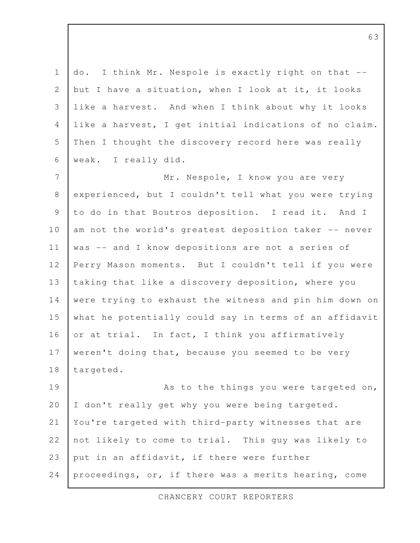do. I think Mr. Nespole is exactly right on that - but I have a situation, when I look at it, it looks like a harvest. And when I think about why it looks like a harvest, I get initial indications of no claim. Then I thought the discovery record here was really weak. I really did. 1 2 3 4 5 6

Mr. Nespole, I know you are very experienced, but I couldn't tell what you were trying to do in that Boutros deposition. I read it. And I am not the world's greatest deposition taker -- never was -- and I know depositions are not a series of Perry Mason moments. But I couldn't tell if you were taking that like a discovery deposition, where you were trying to exhaust the witness and pin him down on what he potentially could say in terms of an affidavit or at trial. In fact, I think you affirmatively weren't doing that, because you seemed to be very targeted. 7 8 9 10 11 12 13 14 15 16 17 18

As to the things you were targeted on, I don't really get why you were being targeted. You're targeted with third-party witnesses that are not likely to come to trial. This guy was likely to put in an affidavit, if there were further proceedings, or, if there was a merits hearing, come 19 20 21 22 23 24

CHANCERY COURT REPORTERS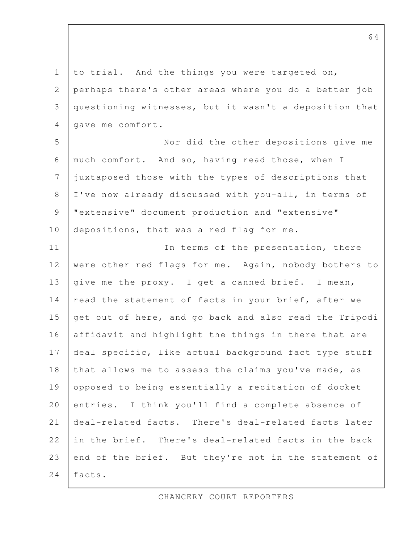to trial. And the things you were targeted on, perhaps there's other areas where you do a better job questioning witnesses, but it wasn't a deposition that gave me comfort. Nor did the other depositions give me much comfort. And so, having read those, when I juxtaposed those with the types of descriptions that I've now already discussed with you-all, in terms of "extensive" document production and "extensive" depositions, that was a red flag for me. In terms of the presentation, there were other red flags for me. Again, nobody bothers to give me the proxy. I get a canned brief. I mean, read the statement of facts in your brief, after we get out of here, and go back and also read the Tripodi affidavit and highlight the things in there that are deal specific, like actual background fact type stuff that allows me to assess the claims you've made, as opposed to being essentially a recitation of docket entries. I think you'll find a complete absence of deal-related facts. There's deal-related facts later in the brief. There's deal-related facts in the back end of the brief. But they're not in the statement of facts. 1 2 3 4 5 6 7 8 9 10 11 12 13 14 15 16 17 18 19 20 21 22 23 24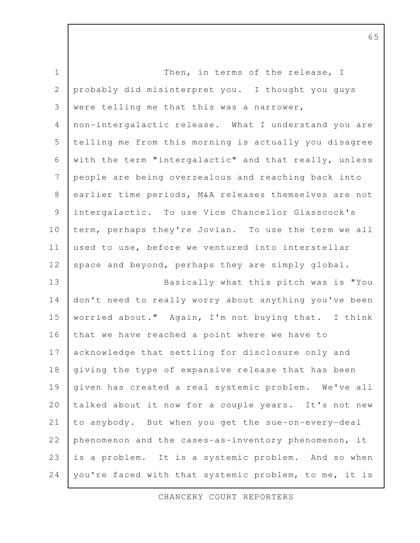| $\mathbf 1$    | Then, in terms of the release, I                      |
|----------------|-------------------------------------------------------|
| $\mathbf{2}$   | probably did misinterpret you. I thought you guys     |
| 3              | were telling me that this was a narrower,             |
| $\overline{4}$ | non-intergalactic release. What I understand you are  |
| 5              | telling me from this morning is actually you disagree |
| 6              | with the term "intergalactic" and that really, unless |
| 7              | people are being overzealous and reaching back into   |
| $\,8\,$        | earlier time periods, M&A releases themselves are not |
| $\mathcal{G}$  | intergalactic. To use Vice Chancellor Glasscock's     |
| 10             | term, perhaps they're Jovian. To use the term we all  |
| 11             | used to use, before we ventured into interstellar     |
| 12             | space and beyond, perhaps they are simply global.     |
| 13             | Basically what this pitch was is "You                 |
| 14             | don't need to really worry about anything you've been |
| 15             | worried about." Again, I'm not buying that. I think   |
| 16             | that we have reached a point where we have to         |
| 17             | acknowledge that settling for disclosure only and     |
| 18             | giving the type of expansive release that has been    |
| 19             | given has created a real systemic problem. We've all  |
| 20             | talked about it now for a couple years. It's not new  |
| 21             | to anybody. But when you get the sue-on-every-deal    |
| 22             | phenomenon and the cases-as-inventory phenomenon, it  |
| 23             | is a problem. It is a systemic problem. And so when   |
| 24             | you're faced with that systemic problem, to me, it is |

CHANCERY COURT REPORTERS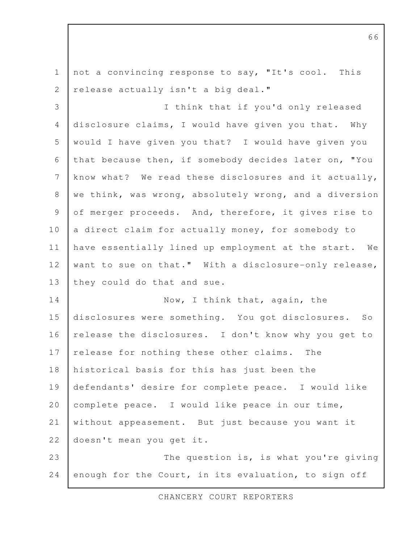not a convincing response to say, "It's cool. This release actually isn't a big deal." I think that if you'd only released disclosure claims, I would have given you that. Why would I have given you that? I would have given you that because then, if somebody decides later on, "You know what? We read these disclosures and it actually, we think, was wrong, absolutely wrong, and a diversion of merger proceeds. And, therefore, it gives rise to a direct claim for actually money, for somebody to have essentially lined up employment at the start. We want to sue on that." With a disclosure-only release, they could do that and sue. Now, I think that, again, the disclosures were something. You got disclosures. So release the disclosures. I don't know why you get to release for nothing these other claims. The historical basis for this has just been the defendants' desire for complete peace. I would like complete peace. I would like peace in our time, without appeasement. But just because you want it doesn't mean you get it. The question is, is what you're giving enough for the Court, in its evaluation, to sign off 1 2 3 4 5 6 7 8 9 10 11 12 13 14 15 16 17 18 19 20 21 22 23 24

CHANCERY COURT REPORTERS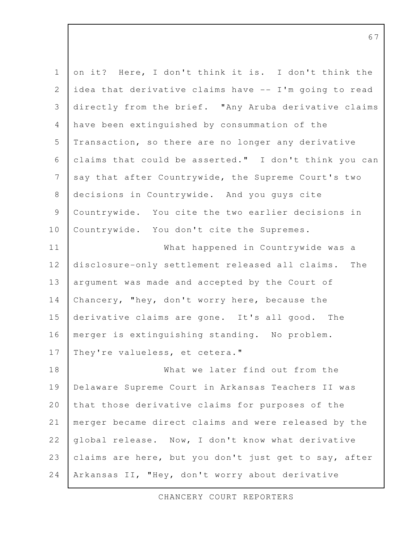| $\mathbf 1$    | on it? Here, I don't think it is. I don't think the    |
|----------------|--------------------------------------------------------|
| 2              | idea that derivative claims have -- I'm going to read  |
| 3              | directly from the brief. "Any Aruba derivative claims  |
| 4              | have been extinguished by consummation of the          |
| 5              | Transaction, so there are no longer any derivative     |
| 6              | claims that could be asserted." I don't think you can  |
| $\overline{7}$ | say that after Countrywide, the Supreme Court's two    |
| 8              | decisions in Countrywide. And you guys cite            |
| $\overline{9}$ | Countrywide. You cite the two earlier decisions in     |
| 10             | Countrywide. You don't cite the Supremes.              |
| 11             | What happened in Countrywide was a                     |
| 12             | disclosure-only settlement released all claims.<br>The |
| 13             | argument was made and accepted by the Court of         |
| 14             | Chancery, "hey, don't worry here, because the          |
| 15             | derivative claims are gone. It's all good. The         |
| 16             | merger is extinguishing standing. No problem.          |
| 17             | They're valueless, et cetera."                         |
| 18             | What we later find out from the                        |
| 19             | Delaware Supreme Court in Arkansas Teachers II was     |
| 20             | that those derivative claims for purposes of the       |
| 21             | merger became direct claims and were released by the   |
| 22             | global release. Now, I don't know what derivative      |
| 23             | claims are here, but you don't just get to say, after  |
| 24             | Arkansas II, "Hey, don't worry about derivative        |

CHANCERY COURT REPORTERS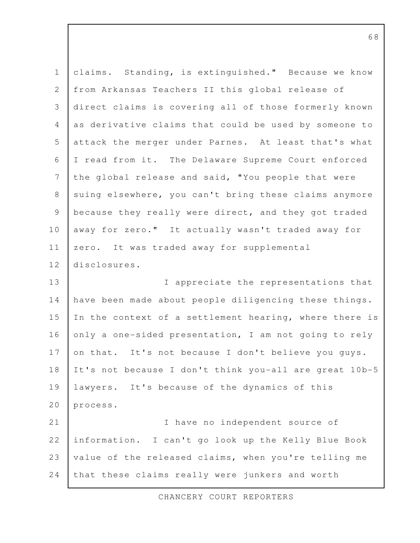claims. Standing, is extinguished." Because we know from Arkansas Teachers II this global release of direct claims is covering all of those formerly known as derivative claims that could be used by someone to attack the merger under Parnes. At least that's what I read from it. The Delaware Supreme Court enforced the global release and said, "You people that were suing elsewhere, you can't bring these claims anymore because they really were direct, and they got traded away for zero." It actually wasn't traded away for zero. It was traded away for supplemental disclosures. I appreciate the representations that have been made about people diligencing these things. In the context of a settlement hearing, where there is only a one-sided presentation, I am not going to rely on that. It's not because I don't believe you guys. It's not because I don't think you-all are great 10b-5 lawyers. It's because of the dynamics of this process. I have no independent source of information. I can't go look up the Kelly Blue Book value of the released claims, when you're telling me that these claims really were junkers and worth 1 2 3 4 5 6 7 8 9 10 11 12 13 14 15 16 17 18 19 20 21 22 23 24

CHANCERY COURT REPORTERS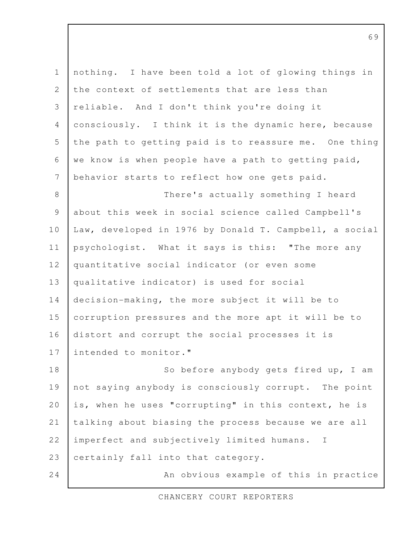nothing. I have been told a lot of glowing things in the context of settlements that are less than reliable. And I don't think you're doing it consciously. I think it is the dynamic here, because the path to getting paid is to reassure me. One thing we know is when people have a path to getting paid, behavior starts to reflect how one gets paid. There's actually something I heard about this week in social science called Campbell's Law, developed in 1976 by Donald T. Campbell, a social psychologist. What it says is this: "The more any quantitative social indicator (or even some qualitative indicator) is used for social decision-making, the more subject it will be to corruption pressures and the more apt it will be to distort and corrupt the social processes it is intended to monitor." So before anybody gets fired up, I am not saying anybody is consciously corrupt. The point is, when he uses "corrupting" in this context, he is talking about biasing the process because we are all imperfect and subjectively limited humans. I certainly fall into that category. An obvious example of this in practice 1 2 3 4 5 6 7 8 9 10 11 12 13 14 15 16 17 18 19 20 21 22 23 24

CHANCERY COURT REPORTERS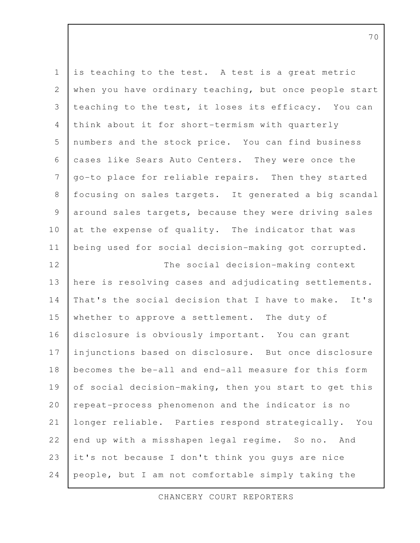| $\mathbf 1$    | is teaching to the test. A test is a great metric      |
|----------------|--------------------------------------------------------|
| $\mathbf{2}$   | when you have ordinary teaching, but once people start |
| $\mathcal{S}$  | teaching to the test, it loses its efficacy. You can   |
| $\overline{4}$ | think about it for short-termism with quarterly        |
| 5              | numbers and the stock price. You can find business     |
| 6              | cases like Sears Auto Centers. They were once the      |
| $\overline{7}$ | go-to place for reliable repairs. Then they started    |
| $\,8\,$        | focusing on sales targets. It generated a big scandal  |
| $\mathcal{G}$  | around sales targets, because they were driving sales  |
| 10             | at the expense of quality. The indicator that was      |
| 11             | being used for social decision-making got corrupted.   |
| 12             | The social decision-making context                     |
| 13             | here is resolving cases and adjudicating settlements.  |
| 14             | That's the social decision that I have to make. It's   |
| 15             | whether to approve a settlement. The duty of           |
| 16             | disclosure is obviously important. You can grant       |
| 17             | injunctions based on disclosure. But once disclosure   |
| $1\,8$         | becomes the be-all and end-all measure for this form   |
| 19             | of social decision-making, then you start to get this  |
| 20             | repeat-process phenomenon and the indicator is no      |
| 21             | longer reliable. Parties respond strategically. You    |
| 22             | end up with a misshapen legal regime. So no. And       |
| 23             | it's not because I don't think you guys are nice       |
| 24             | people, but I am not comfortable simply taking the     |

CHANCERY COURT REPORTERS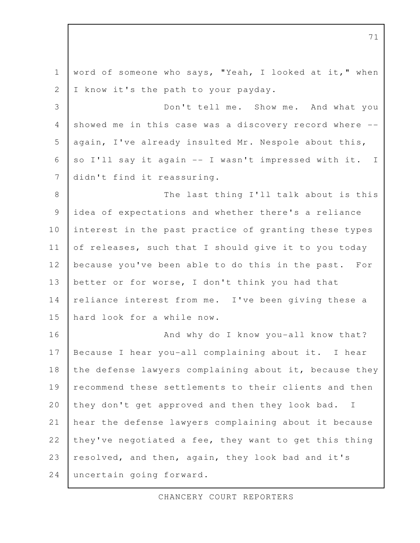word of someone who says, "Yeah, I looked at it," when I know it's the path to your payday. Don't tell me. Show me. And what you showed me in this case was a discovery record where -again, I've already insulted Mr. Nespole about this, so I'll say it again -- I wasn't impressed with it. I didn't find it reassuring. The last thing I'll talk about is this idea of expectations and whether there's a reliance interest in the past practice of granting these types of releases, such that I should give it to you today because you've been able to do this in the past. For better or for worse, I don't think you had that reliance interest from me. I've been giving these a hard look for a while now. And why do I know you-all know that? Because I hear you-all complaining about it. I hear the defense lawyers complaining about it, because they recommend these settlements to their clients and then they don't get approved and then they look bad. I hear the defense lawyers complaining about it because they've negotiated a fee, they want to get this thing resolved, and then, again, they look bad and it's uncertain going forward. 1 2 3 4 5 6 7 8 9 10 11 12 13 14 15 16 17 18 19 20 21 22 23 24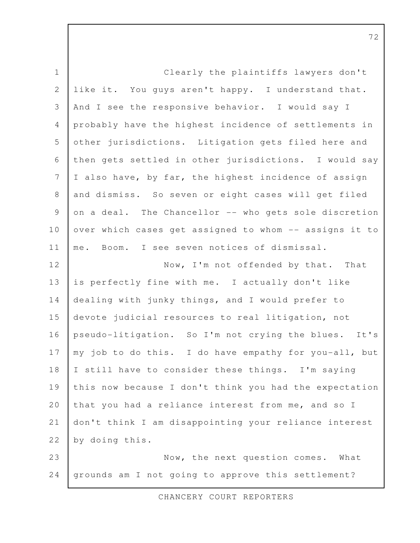| $\mathbbm{1}$  | Clearly the plaintiffs lawyers don't                   |
|----------------|--------------------------------------------------------|
| $\sqrt{2}$     | like it. You guys aren't happy. I understand that.     |
| 3              | And I see the responsive behavior. I would say I       |
| $\overline{4}$ | probably have the highest incidence of settlements in  |
| 5              | other jurisdictions. Litigation gets filed here and    |
| 6              | then gets settled in other jurisdictions. I would say  |
| $\overline{7}$ | I also have, by far, the highest incidence of assign   |
| $\,8\,$        | and dismiss. So seven or eight cases will get filed    |
| $\mathsf 9$    | on a deal. The Chancellor -- who gets sole discretion  |
| 10             | over which cases get assigned to whom -- assigns it to |
| 11             | me. Boom. I see seven notices of dismissal.            |
| 12             | Now, I'm not offended by that. That                    |
| 13             | is perfectly fine with me. I actually don't like       |
| 14             | dealing with junky things, and I would prefer to       |
| 15             | devote judicial resources to real litigation, not      |
| 16             | pseudo-litigation. So I'm not crying the blues. It's   |
| 17             | my job to do this. I do have empathy for you-all, but  |
| 18             | I still have to consider these things. I'm saying      |
| 19             | this now because I don't think you had the expectation |
| 20             | that you had a reliance interest from me, and so I     |
| 21             | don't think I am disappointing your reliance interest  |
| 22             | by doing this.                                         |
| 23             | Now, the next question comes. What                     |
| 24             | grounds am I not going to approve this settlement?     |

CHANCERY COURT REPORTERS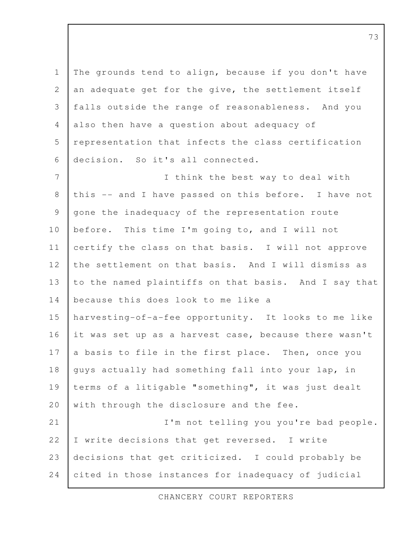The grounds tend to align, because if you don't have an adequate get for the give, the settlement itself falls outside the range of reasonableness. And you also then have a question about adequacy of representation that infects the class certification decision. So it's all connected. I think the best way to deal with this -- and I have passed on this before. I have not gone the inadequacy of the representation route before. This time I'm going to, and I will not certify the class on that basis. I will not approve the settlement on that basis. And I will dismiss as to the named plaintiffs on that basis. And I say that because this does look to me like a harvesting-of-a-fee opportunity. It looks to me like it was set up as a harvest case, because there wasn't a basis to file in the first place. Then, once you guys actually had something fall into your lap, in terms of a litigable "something", it was just dealt with through the disclosure and the fee. I'm not telling you you're bad people. I write decisions that get reversed. I write decisions that get criticized. I could probably be cited in those instances for inadequacy of judicial 1 2 3 4 5 6 7 8 9 10 11 12 13 14 15 16 17 18 19 20 21 22 23 24

CHANCERY COURT REPORTERS

73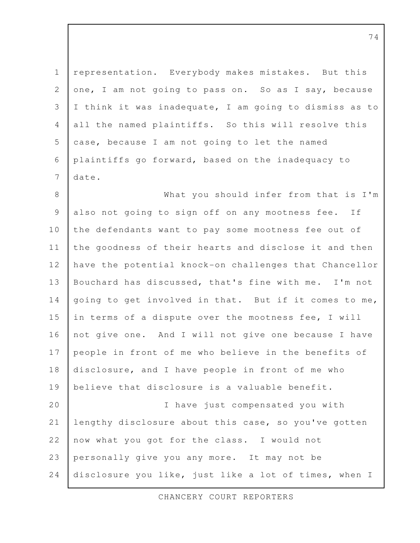representation. Everybody makes mistakes. But this one, I am not going to pass on. So as I say, because I think it was inadequate, I am going to dismiss as to all the named plaintiffs. So this will resolve this case, because I am not going to let the named plaintiffs go forward, based on the inadequacy to date. 1 2 3 4 5 6 7

What you should infer from that is I'm also not going to sign off on any mootness fee. If the defendants want to pay some mootness fee out of the goodness of their hearts and disclose it and then have the potential knock-on challenges that Chancellor Bouchard has discussed, that's fine with me. I'm not going to get involved in that. But if it comes to me, in terms of a dispute over the mootness fee, I will not give one. And I will not give one because I have people in front of me who believe in the benefits of disclosure, and I have people in front of me who believe that disclosure is a valuable benefit. I have just compensated you with lengthy disclosure about this case, so you've gotten now what you got for the class. I would not personally give you any more. It may not be disclosure you like, just like a lot of times, when I 8 9 10 11 12 13 14 15 16 17 18 19 20 21 22 23 24

CHANCERY COURT REPORTERS

74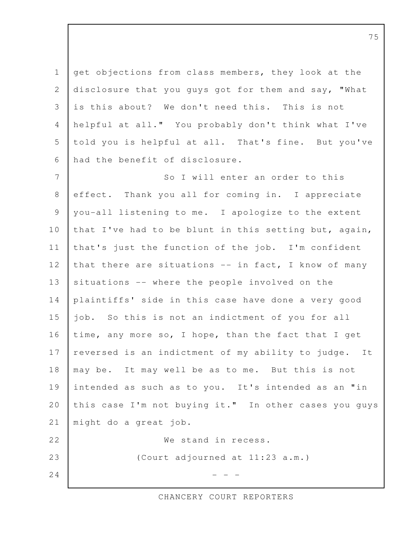get objections from class members, they look at the disclosure that you guys got for them and say, "What is this about? We don't need this. This is not helpful at all." You probably don't think what I've told you is helpful at all. That's fine. But you've had the benefit of disclosure. 1 2 3 4 5 6

So I will enter an order to this effect. Thank you all for coming in. I appreciate you-all listening to me. I apologize to the extent that I've had to be blunt in this setting but, again, that's just the function of the job. I'm confident that there are situations  $--$  in fact, I know of many situations -- where the people involved on the plaintiffs' side in this case have done a very good job. So this is not an indictment of you for all time, any more so, I hope, than the fact that I get reversed is an indictment of my ability to judge. It may be. It may well be as to me. But this is not intended as such as to you. It's intended as an "in this case I'm not buying it." In other cases you guys might do a great job. We stand in recess. (Court adjourned at 11:23 a.m.)  $-$  7 8 9 10 11 12 13 14 15 16 17 18 19 20 21 22 23 24

CHANCERY COURT REPORTERS

75